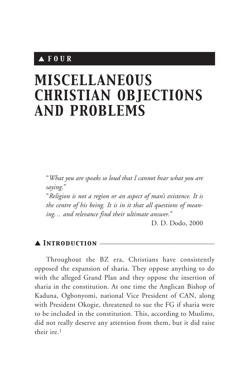# ▲ *FOUR*

# *MISCELLANEOUS CHRISTIAN OBJECTIONS AND PROBLEMS*

"*What you are speaks so loud that I cannot hear what you are saying*."

"*Religion is not a region or an aspect of man's existence. It is the centre of his being. It is in it that all questions of meaning… and relevance find their ultimate answer*."

D. D. Dodo, 2000

## ▲ *Introduction* \_\_\_\_\_\_\_\_\_\_\_\_\_\_\_\_\_\_\_\_\_\_\_\_\_\_\_\_\_\_\_\_\_\_\_\_

Throughout the BZ era, Christians have consistently opposed the expansion of sharia. They oppose anything to do with the alleged Grand Plan and they oppose the insertion of sharia in the constitution. At one time the Anglican Bishop of Kaduna, Ogbonyomi, national Vice President of CAN, along with President Okogie, threatened to sue the FG if sharia were to be included in the constitution. This, according to Muslims, did not really deserve any attention from them, but it did raise their ire.1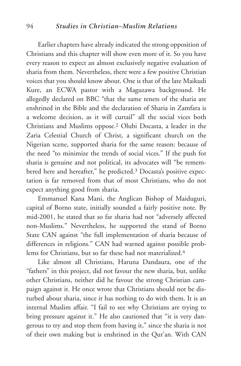#### 94 *Studies in Christian–Muslim Relations*

Earlier chapters have already indicated the strong opposition of Christians and this chapter will show even more of it. So you have every reason to expect an almost exclusively negative evaluation of sharia from them. Nevertheless, there were a few positive Christian voices that you should know about. One is that of the late Maikudi Kure, an ECWA pastor with a Maguzawa background. He allegedly declared on BBC "that the same tenets of the sharia are enshrined in the Bible and the declaration of Sharia in Zamfara is a welcome decision, as it will curtail" all the social vices both Christians and Muslims oppose.2 Olubi Docasta, a leader in the Zaria Celestial Church of Christ, a significant church on the Nigerian scene, supported sharia for the same reason: because of the need "to minimize the trends of social vices." If the push for sharia is genuine and not political, its advocates will "be remembered here and hereafter," he predicted.<sup>3</sup> Docasta's positive expectation is far removed from that of most Christians, who do not expect anything good from sharia.

Emmanuel Kana Mani, the Anglican Bishop of Maiduguri, capital of Borno state, initially sounded a fairly positive note. By mid-2001, he stated that so far sharia had not "adversely affected non-Muslims." Nevertheless, he supported the stand of Borno State CAN against "the full implementation of sharia because of differences in religions." CAN had warned against possible problems for Christians, but so far these had not materialized.4

Like almost all Christians, Haruna Dandaura, one of the "fathers" in this project, did not favour the new sharia, but, unlike other Christians, neither did he favour the strong Christian campaign against it. He once wrote that Christians should not be disturbed about sharia, since it has nothing to do with them. It is an internal Muslim affair. "I fail to see why Christians are trying to bring pressure against it." He also cautioned that "it is very dangerous to try and stop them from having it," since the sharia is not of their own making but is enshrined in the Qur'an. With CAN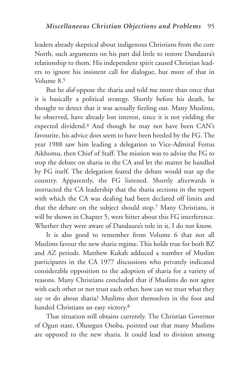leaders already skeptical about indigenous Christians from the core North, such arguments on his part did little to restore Dandaura's relationship to them. His independent spirit caused Christian leaders to ignore his insistent call for dialogue, but more of that in Volume 8.5

But he *did* oppose the sharia and told me more than once that it is basically a political strategy. Shortly before his death, he thought to detect that it was actually fizzling out. Many Muslims, he observed, have already lost interest, since it is not yielding the expected dividend.6 And though he may not have been CAN's favourite, his advice does seem to have been heeded by the FG. The year 1988 saw him leading a delegation to Vice-Admiral Festus Aikhomu, then Chief of Staff. The mission was to advise the FG to stop the debate on sharia in the CA and let the matter be handled by FG itself. The delegation feared the debate would tear up the country. Apparently, the FG listened. Shortly afterwards it instructed the CA leadership that the sharia sections in the report with which the CA was dealing had been declared off limits and that the debate on the subject should stop.7 Many Christians, it will be shown in Chapter 5, were bitter about this FG interference. Whether they were aware of Dandaura's role in it, I do not know.

It is also good to remember from Volume 6 that not all Muslims favour the new sharia regime. This holds true for both BZ and AZ periods. Matthew Kukah adduced a number of Muslim participants in the CA 1977 discussions who privately indicated considerable opposition to the adoption of sharia for a variety of reasons. Many Christians concluded that if Muslims do not agree with each other or not trust each other, how can we trust what they say or do about sharia? Muslims shot themselves in the foot and handed Christians an easy victory.8

That situation still obtains currently. The Christian Governor of Ogun state, Olusegun Osoba, pointed out that many Muslims are opposed to the new sharia. It could lead to division among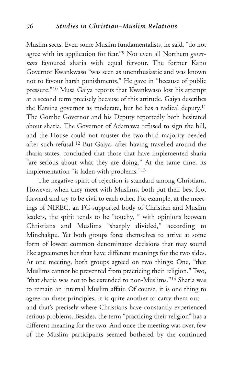Muslim sects. Even some Muslim fundamentalists, he said, "do not agree with its application for fear."9 Not even all Northern *governors* favoured sharia with equal fervour. The former Kano Governor Kwankwaso "was seen as unenthusiastic and was known not to favour harsh punishments." He gave in "because of public pressure."10 Musa Gaiya reports that Kwankwaso lost his attempt at a second term precisely because of this attitude. Gaiya describes the Katsina governor as moderate, but he has a radical deputy.11 The Gombe Governor and his Deputy reportedly both hesitated about sharia. The Governor of Adamawa refused to sign the bill, and the House could not muster the two-third majority needed after such refusal.12 But Gaiya, after having travelled around the sharia states, concluded that those that have implemented sharia "are serious about what they are doing." At the same time, its implementation "is laden with problems."13

The negative spirit of rejection is standard among Christians. However, when they meet with Muslims, both put their best foot forward and try to be civil to each other. For example, at the meetings of NIREC, an FG-supported body of Christian and Muslim leaders, the spirit tends to be "touchy, " with opinions between Christians and Muslims "sharply divided," according to Minchakpu. Yet both groups force themselves to arrive at some form of lowest common denominator decisions that may sound like agreements but that have different meanings for the two sides. At one meeting, both groups agreed on two things: One, "that Muslims cannot be prevented from practicing their religion." Two, "that sharia was not to be extended to non-Muslims."14 Sharia was to remain an internal Muslim affair. Of course, it is one thing to agree on these principles; it is quite another to carry them out and that's precisely where Christians have constantly experienced serious problems. Besides, the term "practicing their religion" has a different meaning for the two. And once the meeting was over, few of the Muslim participants seemed bothered by the continued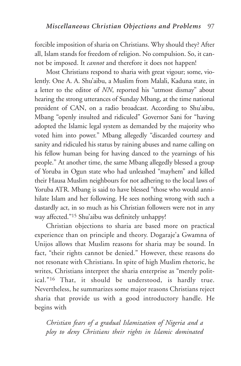forcible imposition of sharia on Christians. Why should they? After all, Islam stands for freedom of religion. No compulsion. So, it cannot be imposed. It *cannot* and therefore it does not happen!

Most Christians respond to sharia with great vigour; some, violently. One A. A. Shu'aibu, a Muslim from Malali, Kaduna state, in a letter to the editor of *NN*, reported his "utmost dismay" about hearing the strong utterances of Sunday Mbang, at the time national president of CAN, on a radio broadcast. According to Shu'aibu, Mbang "openly insulted and ridiculed" Governor Sani for "having adopted the Islamic legal system as demanded by the majority who voted him into power." Mbang allegedly "discarded courtesy and sanity and ridiculed his status by raining abuses and name calling on his fellow human being for having danced to the yearnings of his people." At another time, the same Mbang allegedly blessed a group of Yoruba in Ogun state who had unleashed "mayhem" and killed their Hausa Muslim neighbours for not adhering to the local laws of Yoruba ATR. Mbang is said to have blessed "those who would annihilate Islam and her following. He sees nothing wrong with such a dastardly act, in so much as his Christian followers were not in any way affected."15 Shu'aibu was definitely unhappy!

Christian objections to sharia are based more on practical experience than on principle and theory. Dogaraje'a Gwamna of Unijos allows that Muslim reasons for sharia may be sound. In fact, "their rights cannot be denied." However, these reasons do not resonate with Christians. In spite of high Muslim rhetoric, he writes, Christians interpret the sharia enterprise as "merely political."16 That, it should be understood, is hardly true. Nevertheless, he summarizes some major reasons Christians reject sharia that provide us with a good introductory handle. He begins with

*Christian fears of a gradual Islamization of Nigeria and a ploy to deny Christians their rights in Islamic dominated*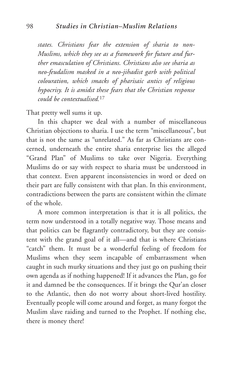*states. Christians fear the extension of sharia to non-Muslims, which they see as a framework for future and further emasculation of Christians. Christians also see sharia as neo-feudalism masked in a neo-jihadist garb with political colouration, which smacks of pharisaic antics of religious hypocrisy. It is amidst these fears that the Christian response could be contextualised.*<sup>17</sup>

That pretty well sums it up.

In this chapter we deal with a number of miscellaneous Christian objections to sharia. I use the term "miscellaneous", but that is not the same as "unrelated." As far as Christians are concerned, underneath the entire sharia enterprise lies the alleged "Grand Plan" of Muslims to take over Nigeria. Everything Muslims do or say with respect to sharia must be understood in that context. Even apparent inconsistencies in word or deed on their part are fully consistent with that plan. In this environment, contradictions between the parts are consistent within the climate of the whole.

A more common interpretation is that it is all politics, the term now understood in a totally negative way. Those means and that politics can be flagrantly contradictory, but they are consistent with the grand goal of it all—and that is where Christians "catch" them. It must be a wonderful feeling of freedom for Muslims when they seem incapable of embarrassment when caught in such murky situations and they just go on pushing their own agenda as if nothing happened! If it advances the Plan, go for it and damned be the consequences. If it brings the Qur'an closer to the Atlantic, then do not worry about short-lived hostility. Eventually people will come around and forget, as many forgot the Muslim slave raiding and turned to the Prophet. If nothing else, there is money there!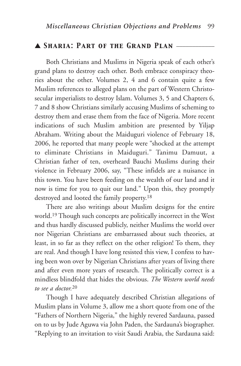#### ▲ *Sharia: Part of the Grand Plan* \_\_\_\_\_\_\_\_\_\_\_\_

Both Christians and Muslims in Nigeria speak of each other's grand plans to destroy each other. Both embrace conspiracy theories about the other. Volumes 2, 4 and 6 contain quite a few Muslim references to alleged plans on the part of Western Christosecular imperialists to destroy Islam. Volumes 3, 5 and Chapters 6, 7 and 8 show Christians similarly accusing Muslims of scheming to destroy them and erase them from the face of Nigeria. More recent indications of such Muslim ambition are presented by Yiljap Abraham. Writing about the Maiduguri violence of February 18, 2006, he reported that many people were "shocked at the attempt to eliminate Christians in Maiduguri." Tanimu Damuut, a Christian father of ten, overheard Bauchi Muslims during their violence in February 2006, say, "These infidels are a nuisance in this town. You have been feeding on the wealth of our land and it now is time for you to quit our land." Upon this, they promptly destroyed and looted the family property.18

There are also writings about Muslim designs for the entire world.19 Though such concepts are politically incorrect in the West and thus hardly discussed publicly, neither Muslims the world over nor Nigerian Christians are embarrassed about such theories, at least, in so far as they reflect on the other religion! To them, they are real. And though I have long resisted this view, I confess to having been won over by Nigerian Christians after years of living there and after even more years of research. The politically correct is a mindless blindfold that hides the obvious. *The Western world needs to see a doctor.*<sup>20</sup>

Though I have adequately described Christian allegations of Muslim plans in Volume 3, allow me a short quote from one of the "Fathers of Northern Nigeria," the highly revered Sardauna, passed on to us by Jude Aguwa via John Paden, the Sardauna's biographer. "Replying to an invitation to visit Saudi Arabia, the Sardauna said: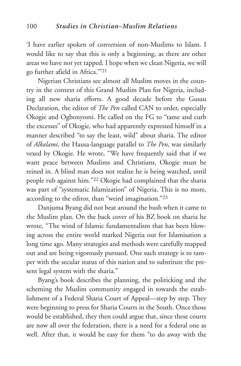'I have earlier spoken of conversion of non-Muslims to Islam. I would like to say that this is only a beginning, as there are other areas we have not yet tapped. I hope when we clean Nigeria, we will go further afield in Africa.'"21

Nigerian Christians see almost all Muslim moves in the country in the context of this Grand Muslim Plan for Nigeria, including all new sharia efforts. A good decade before the Gusau Declaration, the editor of *The Pen* called CAN to order, especially Okogie and Ogbonyomi. He called on the FG to "tame and curb the excesses" of Okogie, who had apparently expressed himself in a manner described "to say the least, wild" about sharia. The editor of *Alkalami*, the Hausa-language parallel to *The Pen*, was similarly vexed by Okogie. He wrote, "We have frequently said that if we want peace between Muslims and Christians, Okogie must be reined in. A blind man does not realize he is being watched, until people rub against him."22 Okogie had complained that the sharia was part of "systematic Islamization" of Nigeria. This is no more, according to the editor, than "weird imagination."23

Danjuma Byang did not beat around the bush when it came to the Muslim plan. On the back cover of his BZ book on sharia he wrote, "The wind of Islamic fundamentalism that has been blowing across the entire world marked Nigeria out for Islamisation a long time ago. Many strategies and methods were carefully mapped out and are being vigorously pursued. One such strategy is to tamper with the secular status of this nation and to substitute the present legal system with the sharia."

Byang's book describes the planning, the politicking and the scheming the Muslim community engaged in towards the establishment of a Federal Sharia Court of Appeal—step by step. They were beginning to press for Sharia Courts in the South. Once those would be established, they then could argue that, since these courts are now all over the federation, there is a need for a federal one as well. After that, it would be easy for them "to do away with the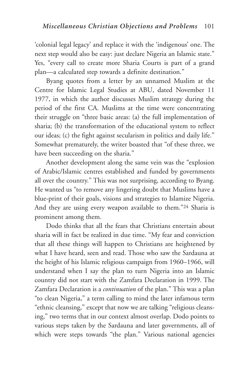'colonial legal legacy' and replace it with the 'indigenous' one. The next step would also be easy: just declare Nigeria an Islamic state." Yes, "every call to create more Sharia Courts is part of a grand plan—a calculated step towards a definite destination."

Byang quotes from a letter by an unnamed Muslim at the Centre for Islamic Legal Studies at ABU, dated November 11 1977, in which the author discusses Muslim strategy during the period of the first CA. Muslims at the time were concentrating their struggle on "three basic areas: (a) the full implementation of sharia; (b) the transformation of the educational system to reflect our ideas; (c) the fight against secularism in politics and daily life." Somewhat prematurely, the writer boasted that "of these three, we have been succeeding on the sharia."

Another development along the same vein was the "explosion of Arabic/Islamic centres established and funded by governments all over the country." This was not surprising, according to Byang. He wanted us "to remove any lingering doubt that Muslims have a blue-print of their goals, visions and strategies to Islamize Nigeria. And they are using every weapon available to them."24 Sharia is prominent among them.

Dodo thinks that all the fears that Christians entertain about sharia will in fact be realized in due time. "My fear and conviction that all these things will happen to Christians are heightened by what I have heard, seen and read. Those who saw the Sardauna at the height of his Islamic religious campaign from 1960–1966, will understand when I say the plan to turn Nigeria into an Islamic country did not start with the Zamfara Declaration in 1999. The Zamfara Declaration is a *continuation* of the plan." This was a plan "to clean Nigeria," a term calling to mind the later infamous term "ethnic cleansing," except that now we are talking "religious cleansing," two terms that in our context almost overlap. Dodo points to various steps taken by the Sardauna and later governments, all of which were steps towards "the plan." Various national agencies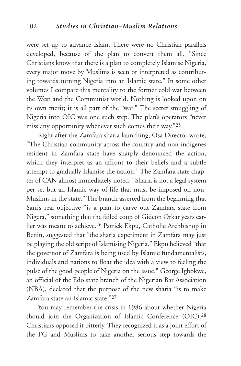were set up to advance Islam. There were no Christian parallels developed, because of the plan to convert them all. "Since Christians know that there is a plan to completely Islamise Nigeria, every major move by Muslims is seen or interpreted as contributing towards turning Nigeria into an Islamic state." In some other volumes I compare this mentality to the former cold war between the West and the Communist world. Nothing is looked upon on its own merit; it is all part of the "war." The secret smuggling of Nigeria into OIC was one such step. The plan's operators "never miss any opportunity whenever such comes their way."25

Right after the Zamfara sharia launching, Osa Director wrote, "The Christian community across the country and non-indigenes resident in Zamfara state have sharply denounced the action, which they interpret as an affront to their beliefs and a subtle attempt to gradually Islamise the nation." The Zamfara state chapter of CAN almost immediately noted, "Sharia is not a legal system per se, but an Islamic way of life that must be imposed on non-Muslims in the state." The branch asserted from the beginning that Sani's real objective "is a plan to carve out Zamfara state from Nigera," something that the failed coup of Gideon Orkar years earlier was meant to achieve.26 Patrick Ekpu, Catholic Archbishop in Benin, suggested that "the sharia experiment in Zamfara may just be playing the old script of Islamising Nigeria." Ekpu believed "that the governor of Zamfara is being used by Islamic fundamentalists, individuals and nations to float the idea with a view to feeling the pulse of the good people of Nigeria on the issue." George Igbokwe, an official of the Edo state branch of the Nigerian Bar Association (NBA), declared that the purpose of the new sharia "is to make Zamfara state an Islamic state."27

You may remember the crisis in 1986 about whether Nigeria should join the Organization of Islamic Conference (OIC).28 Christians opposed it bitterly. They recognized it as a joint effort of the FG and Muslims to take another serious step towards the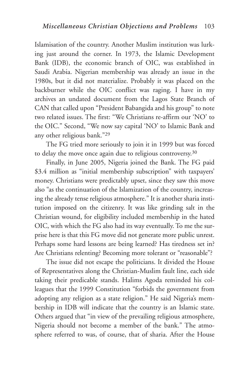Islamisation of the country. Another Muslim institution was lurking just around the corner. In 1973, the Islamic Development Bank (IDB), the economic branch of OIC, was established in Saudi Arabia. Nigerian membership was already an issue in the 1980s, but it did not materialize. Probably it was placed on the backburner while the OIC conflict was raging. I have in my archives an undated document from the Lagos State Branch of CAN that called upon "President Babangida and his group" to note two related issues. The first: "We Christians re-affirm our 'NO' to the OIC." Second, "We now say capital 'NO' to Islamic Bank and any other religious bank."29

The FG tried more seriously to join it in 1999 but was forced to delay the move once again due to religious controversy.30

Finally, in June 2005, Nigeria joined the Bank. The FG paid \$3.4 million as "initial membership subscription" with taxpayers' money. Christians were predictably upset, since they saw this move also "as the continuation of the Islamization of the country, increasing the already tense religious atmosphere." It is another sharia institution imposed on the citizenry. It was like grinding salt in the Christian wound, for eligibility included membership in the hated OIC, with which the FG also had its way eventually. To me the surprise here is that this FG move did not generate more public unrest. Perhaps some hard lessons are being learned? Has tiredness set in? Are Christians relenting? Becoming more tolerant or "reasonable"?

The issue did not escape the politicians. It divided the House of Representatives along the Christian-Muslim fault line, each side taking their predicable stands. Halims Agoda reminded his colleagues that the 1999 Constitution "forbids the government from adopting any religion as a state religion." He said Nigeria's membership in IDB will indicate that the country is an Islamic state. Others argued that "in view of the prevailing religious atmosphere, Nigeria should not become a member of the bank." The atmosphere referred to was, of course, that of sharia. After the House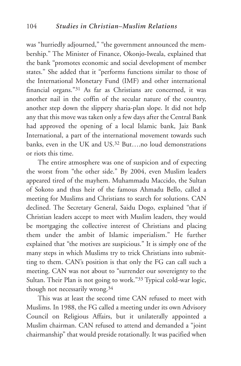was "hurriedly adjourned," "the government announced the membership." The Minister of Finance, Okonjo-Iweala, explained that the bank "promotes economic and social development of member states." She added that it "performs functions similar to those of the International Monetary Fund (IMF) and other international financial organs."31 As far as Christians are concerned, it was another nail in the coffin of the secular nature of the country, another step down the slippery sharia-plan slope. It did not help any that this move was taken only a few days after the Central Bank had approved the opening of a local Islamic bank, Jaiz Bank International, a part of the international movement towards such banks, even in the UK and US. $32$  But..., no loud demonstrations or riots this time.

The entire atmosphere was one of suspicion and of expecting the worst from "the other side." By 2004, even Muslim leaders appeared tired of the mayhem. Muhammadu Maccido, the Sultan of Sokoto and thus heir of the famous Ahmadu Bello, called a meeting for Muslims and Christians to search for solutions. CAN declined. The Secretary General, Saidu Dogo, explained "that if Christian leaders accept to meet with Muslim leaders, they would be mortgaging the collective interest of Christians and placing them under the ambit of Islamic imperialism." He further explained that "the motives are suspicious." It is simply one of the many steps in which Muslims try to trick Christians into submitting to them. CAN's position is that only the FG can call such a meeting. CAN was not about to "surrender our sovereignty to the Sultan. Their Plan is not going to work."33 Typical cold-war logic, though not necessarily wrong.34

This was at least the second time CAN refused to meet with Muslims. In 1988, the FG called a meeting under its own Advisory Council on Religious Affairs, but it unilaterally appointed a Muslim chairman. CAN refused to attend and demanded a "joint chairmanship" that would preside rotationally. It was pacified when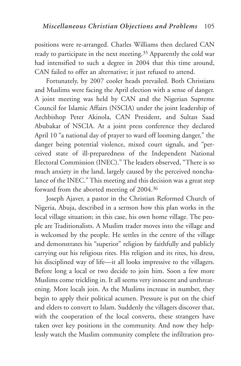positions were re-arranged. Charles Williams then declared CAN ready to participate in the next meeting.35 Apparently the cold war had intensified to such a degree in 2004 that this time around, CAN failed to offer an alternative; it just refused to attend.

Fortunately, by 2007 cooler heads prevailed. Both Christians and Muslims were facing the April election with a sense of danger. A joint meeting was held by CAN and the Nigerian Supreme Council for Islamic Affairs (NSCIA) under the joint leadership of Archbishop Peter Akinola, CAN President, and Sultan Saad Abubakar of NSCIA. At a joint press conference they declared April 10 "a national day of prayer to ward off looming danger," the danger being potential violence, mixed court signals, and "perceived state of ill-preparedness of the Independent National Electoral Commission (INEC)." The leaders observed, "There is so much anxiety in the land, largely caused by the perceived nonchalance of the INEC." This meeting and this decision was a great step forward from the aborted meeting of 2004.36

Joseph Ajaver, a pastor in the Christian Reformed Church of Nigeria, Abuja, described in a sermon how this plan works in the local village situation; in this case, his own home village. The people are Traditionalists. A Muslim trader moves into the village and is welcomed by the people. He settles in the centre of the village and demonstrates his "superior" religion by faithfully and publicly carrying out his religious rites. His religion and its rites, his dress, his disciplined way of life—it all looks impressive to the villagers. Before long a local or two decide to join him. Soon a few more Muslims come trickling in. It all seems very innocent and unthreatening. More locals join. As the Muslims increase in number, they begin to apply their political acumen. Pressure is put on the chief and elders to convert to Islam. Suddenly the villagers discover that, with the cooperation of the local converts, these strangers have taken over key positions in the community. And now they helplessly watch the Muslim community complete the infiltration pro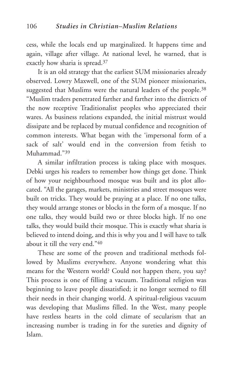cess, while the locals end up marginalized. It happens time and again, village after village. At national level, he warned, that is exactly how sharia is spread.37

It is an old strategy that the earliest SUM missionaries already observed. Lowry Maxwell, one of the SUM pioneer missionaries, suggested that Muslims were the natural leaders of the people.<sup>38</sup> "Muslim traders penetrated farther and farther into the districts of the now receptive Traditionalist peoples who appreciated their wares. As business relations expanded, the initial mistrust would dissipate and be replaced by mutual confidence and recognition of common interests. What began with the 'impersonal form of a sack of salt' would end in the conversion from fetish to Muhammad."39

A similar infiltration process is taking place with mosques. Debki urges his readers to remember how things get done. Think of how your neighbourhood mosque was built and its plot allocated. "All the garages, markets, ministries and street mosques were built on tricks. They would be praying at a place. If no one talks, they would arrange stones or blocks in the form of a mosque. If no one talks, they would build two or three blocks high. If no one talks, they would build their mosque. This is exactly what sharia is believed to intend doing, and this is why you and I will have to talk about it till the very end."40

These are some of the proven and traditional methods followed by Muslims everywhere. Anyone wondering what this means for the Western world? Could not happen there, you say? This process is one of filling a vacuum. Traditional religion was beginning to leave people dissatisfied; it no longer seemed to fill their needs in their changing world. A spiritual-religious vacuum was developing that Muslims filled. In the West, many people have restless hearts in the cold climate of secularism that an increasing number is trading in for the sureties and dignity of Islam.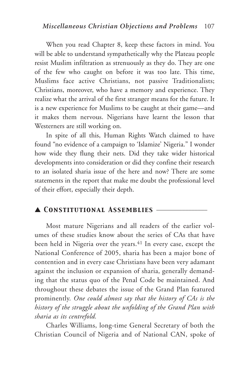When you read Chapter 8, keep these factors in mind. You will be able to understand sympathetically why the Plateau people resist Muslim infiltration as strenuously as they do. They are one of the few who caught on before it was too late. This time, Muslims face active Christians, not passive Traditionalists; Christians, moreover, who have a memory and experience. They realize what the arrival of the first stranger means for the future. It is a new experience for Muslims to be caught at their game—and it makes them nervous. Nigerians have learnt the lesson that Westerners are still working on.

In spite of all this, Human Rights Watch claimed to have found "no evidence of a campaign to 'Islamize' Nigeria." I wonder how wide they flung their nets. Did they take wider historical developments into consideration or did they confine their research to an isolated sharia issue of the here and now? There are some statements in the report that make me doubt the professional level of their effort, especially their depth.

## ▲ *Constitutional Assemblies* \_\_\_\_\_\_\_\_\_\_\_\_\_\_\_\_

Most mature Nigerians and all readers of the earlier volumes of these studies know about the series of CAs that have been held in Nigeria over the years.<sup>41</sup> In every case, except the National Conference of 2005, sharia has been a major bone of contention and in every case Christians have been very adamant against the inclusion or expansion of sharia, generally demanding that the status quo of the Penal Code be maintained. And throughout these debates the issue of the Grand Plan featured prominently. *One could almost say that the history of CAs is the history of the struggle about the unfolding of the Grand Plan with sharia as its centrefold.*

Charles Williams, long-time General Secretary of both the Christian Council of Nigeria and of National CAN, spoke of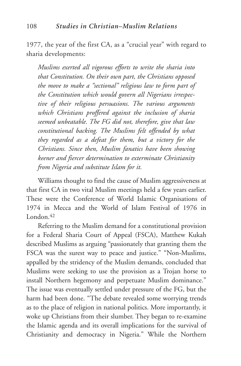1977, the year of the first CA, as a "crucial year" with regard to sharia developments:

*Muslims exerted all vigorous efforts to write the sharia into that Constitution. On their own part, the Christians opposed the move to make a "sectional" religious law to form part of the Constitution which would govern all Nigerians irrespective of their religious persuasions. The various arguments which Christians proffered against the inclusion of sharia seemed unbeatable. The FG did not, therefore, give that law constitutional backing. The Muslims felt offended by what they regarded as a defeat for them, but a victory for the Christians. Since then, Muslim fanatics have been showing keener and fiercer determination to exterminate Christianity from Nigeria and substitute Islam for it.*

Williams thought to find the cause of Muslim aggressiveness at that first CA in two vital Muslim meetings held a few years earlier. These were the Conference of World Islamic Organisations of 1974 in Mecca and the World of Islam Festival of 1976 in London.<sup>42</sup>

Referring to the Muslim demand for a constitutional provision for a Federal Sharia Court of Appeal (FSCA), Matthew Kukah described Muslims as arguing "passionately that granting them the FSCA was the surest way to peace and justice." "Non-Muslims, appalled by the stridency of the Muslim demands, concluded that Muslims were seeking to use the provision as a Trojan horse to install Northern hegemony and perpetuate Muslim dominance." The issue was eventually settled under pressure of the FG, but the harm had been done. "The debate revealed some worrying trends as to the place of religion in national politics. More importantly, it woke up Christians from their slumber. They began to re-examine the Islamic agenda and its overall implications for the survival of Christianity and democracy in Nigeria." While the Northern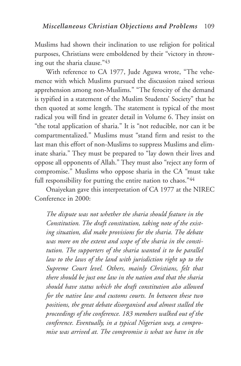Muslims had shown their inclination to use religion for political purposes, Christians were emboldened by their "victory in throwing out the sharia clause."43

With reference to CA 1977, Jude Aguwa wrote, "The vehemence with which Muslims pursued the discussion raised serious apprehension among non-Muslims." "The ferocity of the demand is typified in a statement of the Muslim Students' Society" that he then quoted at some length. The statement is typical of the most radical you will find in greater detail in Volume 6. They insist on "the total application of sharia." It is "not reducible, nor can it be compartmentalized." Muslims must "stand firm and resist to the last man this effort of non-Muslims to suppress Muslims and eliminate sharia." They must be prepared to "lay down their lives and oppose all opponents of Allah." They must also "reject any form of compromise." Muslims who oppose sharia in the CA "must take full responsibility for putting the entire nation to chaos."44

Onaiyekan gave this interpretation of CA 1977 at the NIREC Conference in 2000:

*The dispute was not whether the sharia should feature in the Constitution. The draft constitution, taking note of the existing situation, did make provisions for the sharia. The debate was more on the extent and scope of the sharia in the constitution. The supporters of the sharia wanted it to be parallel law to the laws of the land with jurisdiction right up to the Supreme Court level. Others, mainly Christians, felt that there should be just one law in the nation and that the sharia should have status which the draft constitution also allowed for the native law and customs courts. In between these two positions, the great debate disorganised and almost stalled the proceedings of the conference. 183 members walked out of the conference. Eventually, in a typical Nigerian way, a compromise was arrived at. The compromise is what we have in the*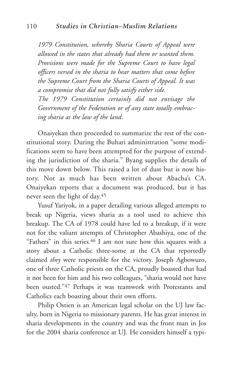*1979 Constitution, whereby Sharia Courts of Appeal were allowed in the states that already had them or wanted them. Provisions were made for the Supreme Court to have legal officers versed in the sharia to hear matters that come before the Supreme Court from the Sharia Courts of Appeal. It was a compromise that did not fully satisfy either side. The 1979 Constitution certainly did not envisage the Government of the Federation or of any state totally embracing sharia as the law of the land*.

Onaiyekan then proceeded to summarize the rest of the constitutional story. During the Buhari administration "some modifications seem to have been attempted for the purpose of extending the jurisdiction of the sharia." Byang supplies the details of this move down below. This raised a lot of dust but is now history. Not as much has been written about Abacha's CA. Onaiyekan reports that a document was produced, but it has never seen the light of day.45

Yusuf Yariyok, in a paper detailing various alleged attempts to break up Nigeria, views sharia as a tool used to achieve this breakup. The CA of 1978 could have led to a breakup, if it were not for the valiant attempts of Christopher Abashiya, one of the "Fathers" in this series.46 I am not sure how this squares with a story about a Catholic three-some at the CA that reportedly claimed *they* were responsible for the victory. Joseph Agbowuro, one of three Catholic priests on the CA, proudly boasted that had it not been for him and his two colleagues, "sharia would not have been ousted."47 Perhaps it was teamwork with Protestants and Catholics each boasting about their own efforts.

Philip Ostien is an American legal scholar on the UJ law faculty, born in Nigeria to missionary parents. He has great interest in sharia developments in the country and was the front man in Jos for the 2004 sharia conference at UJ. He considers himself a typi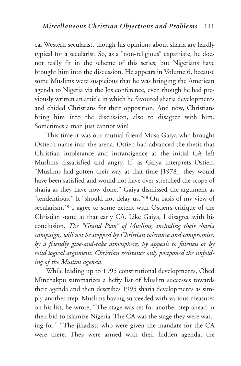cal Western secularist, though his opinions about sharia are hardly typical for a secularist. So, as a "non-religious" expatriate, he does not really fit in the scheme of this series, but Nigerians have brought him into the discussion. He appears in Volume 6, because some Muslims were suspicious that he was bringing the American agenda to Nigeria via the Jos conference, even though he had previously written an article in which he favoured sharia developments and chided Christians for their opposition. And now, Christians bring him into the discussion, also to disagree with him. Sometimes a man just cannot win!

This time it was our mutual friend Musa Gaiya who brought Ostien's name into the arena. Ostien had advanced the thesis that Christian intolerance and intransigence at the initial CA left Muslims dissatisfied and angry. If, as Gaiya interprets Ostien, "Muslims had gotten their way at that time [1978], they would have been satisfied and would not have over-stretched the scope of sharia as they have now done." Gaiya dismissed the argument as "tendentious." It "should not delay us."48 On basis of my view of secularism, <sup>49</sup> I agree to some extent with Ostien's critique of the Christian stand at that early CA. Like Gaiya, I disagree with his conclusion. *The "Grand Plan" of Muslims, including their sharia campaign, will not be stopped by Christian tolerance and compromise, by a friendly give-and-take atmosphere, by appeals to fairness or by solid logical argument. Christian resistance only postponed the unfolding of the Muslim agenda*.

While leading up to 1995 constitutional developments, Obed Minchakpu summarizes a hefty list of Muslim successes towards their agenda and then describes 1995 sharia developments as simply another step. Muslims having succeeded with various measures on his list, he wrote, "The stage was set for another step ahead in their bid to Islamize Nigeria. The CA was the stage they were waiting for." "The jihadists who were given the mandate for the CA were there. They were armed with their hidden agenda, the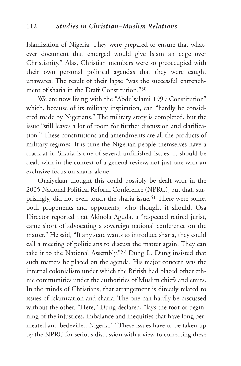Islamisation of Nigeria. They were prepared to ensure that whatever document that emerged would give Islam an edge over Christianity." Alas, Christian members were so preoccupied with their own personal political agendas that they were caught unawares. The result of their lapse "was the successful entrenchment of sharia in the Draft Constitution."50

We are now living with the "Abdulsalami 1999 Constitution" which, because of its military inspiration, can "hardly be considered made by Nigerians." The military story is completed, but the issue "still leaves a lot of room for further discussion and clarification." These constitutions and amendments are all the products of military regimes. It is time the Nigerian people themselves have a crack at it. Sharia is one of several unfinished issues. It should be dealt with in the context of a general review, not just one with an exclusive focus on sharia alone.

Onaiyekan thought this could possibly be dealt with in the 2005 National Political Reform Conference (NPRC), but that, surprisingly, did not even touch the sharia issue.<sup>51</sup> There were some, both proponents and opponents, who thought it should. Osa Director reported that Akinola Aguda, a "respected retired jurist, came short of advocating a sovereign national conference on the matter." He said, "If any state wants to introduce sharia, they could call a meeting of politicians to discuss the matter again. They can take it to the National Assembly."52 Dung L. Dung insisted that such matters be placed on the agenda. His major concern was the internal colonialism under which the British had placed other ethnic communities under the authorities of Muslim chiefs and emirs. In the minds of Christians, that arrangement is directly related to issues of Islamization and sharia. The one can hardly be discussed without the other. "Here," Dung declared, "lays the root or beginning of the injustices, imbalance and inequities that have long permeated and bedevilled Nigeria." "These issues have to be taken up by the NPRC for serious discussion with a view to correcting these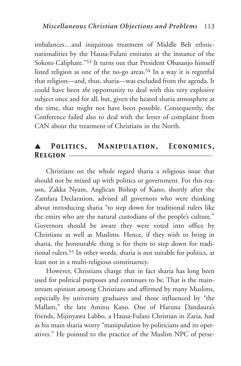imbalances…and iniquitous treatment of Middle Belt ethnicnationalities by the Hausa-Fulani emirates at the instance of the Sokoto Caliphate."53 It turns out that President Obasanjo himself listed religion as one of the no-go areas.<sup>54</sup> In a way it is regretful that religion—and, thus, sharia—was excluded from the agenda. It could have been *the* opportunity to deal with this very explosive subject once and for all, but, given the heated sharia atmosphere at the time, that might not have been possible. Consequently, the Conference failed also to deal with the letter of complaint from CAN about the treatment of Christians in the North.

## ▲ *Politics, Manipulation, Economics,* **RELGION** –

Christians on the whole regard sharia a religious issue that should not be mixed up with politics or government. For this reason, Zakka Nyam, Anglican Bishop of Kano, shortly after the Zamfara Declaration, advised all governors who were thinking about introducing sharia "to step down for traditional rulers like the emirs who are the natural custodians of the people's culture." Governors should be aware they were voted into office by Christians as well as Muslims. Hence, if they wish to bring in sharia, the honourable thing is for them to step down for traditional rulers.55 In other words, sharia is not suitable for politics, at least not in a multi-religious constituency.

However, Christians charge that in fact sharia has long been used for political purposes and continues to be. That is the mainstream opinion among Christians and affirmed by many Muslims, especially by university graduates and those influenced by "the Mallam," the late Aminu Kano. One of Haruna Dandaura's friends, Mijinyawa Labbo, a Hausa-Fulani Christian in Zaria, had as his main sharia worry "manipulation by politicians and its operatives." He pointed to the practice of the Muslim NPC of perse-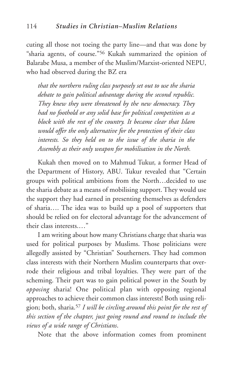cuting all those not toeing the party line—and that was done by "sharia agents, of course."56 Kukah summarized the opinion of Balarabe Musa, a member of the Muslim/Marxist-oriented NEPU, who had observed during the BZ era

*that the northern ruling class purposely set out to use the sharia debate to gain political advantage during the second republic. They knew they were threatened by the new democracy. They had no foothold or any solid base for political competition as a block with the rest of the country. It became clear that Islam would offer the only alternative for the protection of their class interests. So they held on to the issue of the sharia in the Assembly as their only weapon for mobilisation in the North.*

Kukah then moved on to Mahmud Tukur, a former Head of the Department of History, ABU. Tukur revealed that "Certain groups with political ambitions from the North…decided to use the sharia debate as a means of mobilising support. They would use the support they had earned in presenting themselves as defenders of sharia…. The idea was to build up a pool of supporters that should be relied on for electoral advantage for the advancement of their class interests.…"

I am writing about how many Christians charge that sharia was used for political purposes by Muslims. Those politicians were allegedly assisted by "Christian" Southerners. They had common class interests with their Northern Muslim counterparts that overrode their religious and tribal loyalties. They were part of the scheming. Their part was to gain political power in the South by *opposing* sharia! One political plan with opposing regional approaches to achieve their common class interests! Both using religion; both, sharia.57 *I will be circling around this point for the rest of this section of the chapter, just going round and round to include the views of a wide range of Christians*.

Note that the above information comes from prominent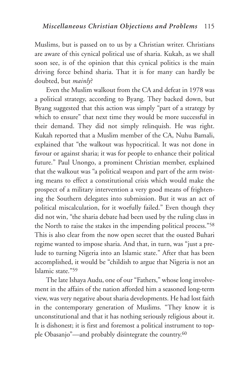Muslims, but is passed on to us by a Christian writer. Christians are aware of this cynical political use of sharia. Kukah, as we shall soon see, is of the opinion that this cynical politics is the main driving force behind sharia. That it is for many can hardly be doubted, but *mainly*?

Even the Muslim walkout from the CA and defeat in 1978 was a political strategy, according to Byang. They backed down, but Byang suggested that this action was simply "part of a strategy by which to ensure" that next time they would be more successful in their demand. They did not simply relinquish. He was right. Kukah reported that a Muslim member of the CA, Nuhu Bamali, explained that "the walkout was hypocritical. It was not done in favour or against sharia; it was for people to enhance their political future." Paul Unongo, a prominent Christian member, explained that the walkout was "a political weapon and part of the arm twisting means to effect a constitutional crisis which would make the prospect of a military intervention a very good means of frightening the Southern delegates into submission. But it was an act of political miscalculation, for it woefully failed." Even though they did not win, "the sharia debate had been used by the ruling class in the North to raise the stakes in the impending political process."58 This is also clear from the now open secret that the ousted Buhari regime wanted to impose sharia. And that, in turn, was "just a prelude to turning Nigeria into an Islamic state." After that has been accomplished, it would be "childish to argue that Nigeria is not an Islamic state."59

The late Ishaya Audu, one of our "Fathers," whose long involvement in the affairs of the nation afforded him a seasoned long-term view, was very negative about sharia developments. He had lost faith in the contemporary generation of Muslims. "They know it is unconstitutional and that it has nothing seriously religious about it. It is dishonest; it is first and foremost a political instrument to topple Obasanjo"—and probably disintegrate the country.60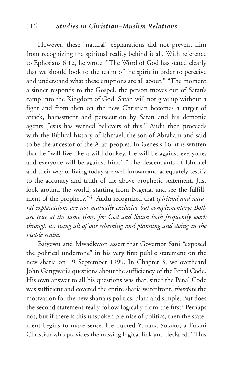#### 116 *Studies in Christian–Muslim Relations*

However, these "natural" explanations did not prevent him from recognizing the spiritual reality behind it all. With reference to Ephesians 6:12, he wrote, "The Word of God has stated clearly that we should look to the realm of the spirit in order to perceive and understand what these eruptions are all about." "The moment a sinner responds to the Gospel, the person moves out of Satan's camp into the Kingdom of God. Satan will not give up without a fight and from then on the new Christian becomes a target of attack, harassment and persecution by Satan and his demonic agents. Jesus has warned believers of this." Audu then proceeds with the Biblical history of Ishmael, the son of Abraham and said to be the ancestor of the Arab peoples. In Genesis 16, it is written that he "will live like a wild donkey. He will be against everyone, and everyone will be against him." "The descendants of Ishmael and their way of living today are well known and adequately testify to the accuracy and truth of the above prophetic statement. Just look around the world, starting from Nigeria, and see the fulfillment of the prophecy."61 Audu recognized that *spiritual and natural explanations are not mutually exclusive but complementary: Both are true at the same time, for God and Satan both frequently work through us, using all of our scheming and planning and doing in the visible realm.*

Baiyewu and Mwadkwon assert that Governor Sani "exposed the political undertone" in his very first public statement on the new sharia on 19 September 1999. In Chapter 3, we overheard John Gangwari's questions about the sufficiency of the Penal Code. His own answer to all his questions was that, since the Penal Code was sufficient and covered the entire sharia waterfront, *therefore* the motivation for the new sharia is politics, plain and simple. But does the second statement really follow logically from the first? Perhaps not, but if there is this unspoken premise of politics, then the statement begins to make sense. He quoted Yunana Sokoto, a Fulani Christian who provides the missing logical link and declared, "This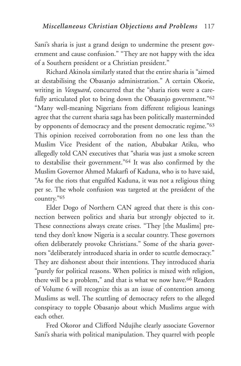Sani's sharia is just a grand design to undermine the present government and cause confusion." "They are not happy with the idea of a Southern president or a Christian president."

Richard Akinola similarly stated that the entire sharia is "aimed at destabilising the Obasanjo administration." A certain Okorie, writing in *Vanguard*, concurred that the "sharia riots were a carefully articulated plot to bring down the Obasanjo government."<sup>62</sup> "Many well-meaning Nigerians from different religious leanings agree that the current sharia saga has been politically masterminded by opponents of democracy and the present democratic regime."63 This opinion received corroboration from no one less than the Muslim Vice President of the nation, Abubakar Atiku, who allegedly told CAN executives that "sharia was just a smoke screen to destabilise their government."64 It was also confirmed by the Muslim Governor Ahmed Makarfi of Kaduna, who is to have said, "As for the riots that engulfed Kaduna, it was not a religious thing per se. The whole confusion was targeted at the president of the country."65

Elder Dogo of Northern CAN agreed that there is this connection between politics and sharia but strongly objected to it. These connections always create crises. "They [the Muslims] pretend they don't know Nigeria is a secular country. These governors often deliberately provoke Christians." Some of the sharia governors "deliberately introduced sharia in order to scuttle democracy." They are dishonest about their intentions. They introduced sharia "purely for political reasons. When politics is mixed with religion, there will be a problem," and that is what we now have.<sup>66</sup> Readers of Volume 6 will recognize this as an issue of contention among Muslims as well. The scuttling of democracy refers to the alleged conspiracy to topple Obasanjo about which Muslims argue with each other.

Fred Okoror and Clifford Ndujihe clearly associate Governor Sani's sharia with political manipulation. They quarrel with people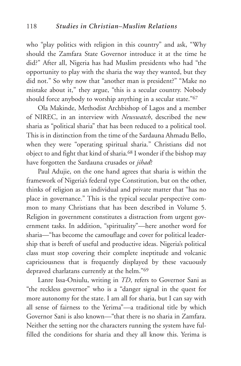who "play politics with religion in this country" and ask, "Why should the Zamfara State Governor introduce it at the time he did?" After all, Nigeria has had Muslim presidents who had "the opportunity to play with the sharia the way they wanted, but they did not." So why now that "another man is president?" "Make no mistake about it," they argue, "this is a secular country. Nobody should force anybody to worship anything in a secular state."67

Ola Makinde, Methodist Archbishop of Lagos and a member of NIREC, in an interview with *Newswatch*, described the new sharia as "political sharia" that has been reduced to a political tool. This is in distinction from the time of the Sardauna Ahmadu Bello, when they were "operating spiritual sharia." Christians did not object to and fight that kind of sharia.68 I wonder if the bishop may have forgotten the Sardauna crusades or *jihad*?

Paul Adujie, on the one hand agrees that sharia is within the framework of Nigeria's federal type Constitution, but on the other, thinks of religion as an individual and private matter that "has no place in governance." This is the typical secular perspective common to many Christians that has been described in Volume 5. Religion in government constitutes a distraction from urgent government tasks. In addition, "spirituality"—here another word for sharia—"has become the camouflage and cover for political leadership that is bereft of useful and productive ideas. Nigeria's political class must stop covering their complete ineptitude and volcanic capriciousness that is frequently displayed by these vacuously depraved charlatans currently at the helm."69

Lanre Issa-Oniulu, writing in *TD*, refers to Governor Sani as "the reckless governor" who is a "danger signal in the quest for more autonomy for the state. I am all for sharia, but I can say with all sense of fairness to the Yerima"—a traditional title by which Governor Sani is also known—"that there is no sharia in Zamfara. Neither the setting nor the characters running the system have fulfilled the conditions for sharia and they all know this. Yerima is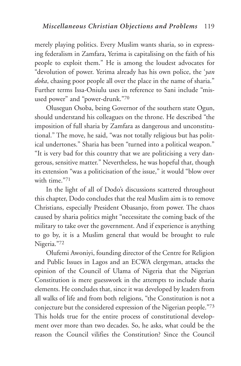merely playing politics. Every Muslim wants sharia, so in expressing federalism in Zamfara, Yerima is capitalising on the faith of his people to exploit them." He is among the loudest advocates for "devolution of power. Yerima already has his own police, the '*yan doka*, chasing poor people all over the place in the name of sharia." Further terms Issa-Oniulu uses in reference to Sani include "misused power" and "power-drunk."70

Olusegun Osoba, being Governor of the southern state Ogun, should understand his colleagues on the throne. He described "the imposition of full sharia by Zamfara as dangerous and unconstitutional." The move, he said, "was not totally religious but has political undertones." Sharia has been "turned into a political weapon." "It is very bad for this country that we are politicising a very dangerous, sensitive matter." Nevertheless, he was hopeful that, though its extension "was a politicisation of the issue," it would "blow over with time."71

In the light of all of Dodo's discussions scattered throughout this chapter, Dodo concludes that the real Muslim aim is to remove Christians, especially President Obasanjo, from power. The chaos caused by sharia politics might "necessitate the coming back of the military to take over the government. And if experience is anything to go by, it is a Muslim general that would be brought to rule Nigeria."72

Olufemi Awoniyi, founding director of the Centre for Religion and Public Issues in Lagos and an ECWA clergyman, attacks the opinion of the Council of Ulama of Nigeria that the Nigerian Constitution is mere guesswork in the attempts to include sharia elements. He concludes that, since it was developed by leaders from all walks of life and from both religions, "the Constitution is not a conjecture but the considered expression of the Nigerian people."73 This holds true for the entire process of constitutional development over more than two decades. So, he asks, what could be the reason the Council vilifies the Constitution? Since the Council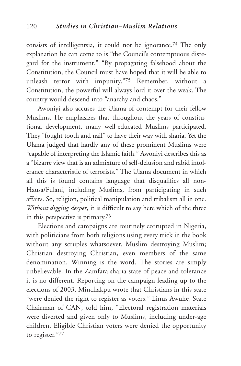consists of intelligentsia, it could not be ignorance.74 The only explanation he can come to is "the Council's contemptuous disregard for the instrument." "By propagating falsehood about the Constitution, the Council must have hoped that it will be able to unleash terror with impunity."75 Remember, without a Constitution, the powerful will always lord it over the weak. The country would descend into "anarchy and chaos."

Awoniyi also accuses the Ulama of contempt for their fellow Muslims. He emphasizes that throughout the years of constitutional development, many well-educated Muslims participated. They "fought tooth and nail" to have their way with sharia. Yet the Ulama judged that hardly any of these prominent Muslims were "capable of interpreting the Islamic faith." Awoniyi describes this as a "bizarre view that is an admixture of self-delusion and rabid intolerance characteristic of terrorists." The Ulama document in which all this is found contains language that disqualifies all non-Hausa/Fulani, including Muslims, from participating in such affairs. So, religion, political manipulation and tribalism all in one. *Without digging deeper*, it is difficult to say here which of the three in this perspective is primary.76

Elections and campaigns are routinely corrupted in Nigeria, with politicians from both religions using every trick in the book without any scruples whatsoever. Muslim destroying Muslim; Christian destroying Christian, even members of the same denomination. Winning is the word. The stories are simply unbelievable. In the Zamfara sharia state of peace and tolerance it is no different. Reporting on the campaign leading up to the elections of 2003, Minchakpu wrote that Christians in this state "were denied the right to register as voters." Linus Awuhe, State Chairman of CAN, told him, "Electoral registration materials were diverted and given only to Muslims, including under-age children. Eligible Christian voters were denied the opportunity to register."77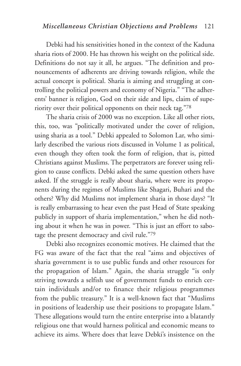Debki had his sensitivities honed in the context of the Kaduna sharia riots of 2000. He has thrown his weight on the political side. Definitions do not say it all, he argues. "The definition and pronouncements of adherents are driving towards religion, while the actual concept is political. Sharia is aiming and struggling at controlling the political powers and economy of Nigeria." "The adherents' banner is religion, God on their side and lips, claim of superiority over their political opponents on their neck tag."78

The sharia crisis of 2000 was no exception. Like all other riots, this, too, was "politically motivated under the cover of religion, using sharia as a tool." Debki appealed to Solomon Lar, who similarly described the various riots discussed in Volume 1 as political, even though they often took the form of religion, that is, pitted Christians against Muslims. The perpetrators are forever using religion to cause conflicts. Debki asked the same question others have asked. If the struggle is really about sharia, where were its proponents during the regimes of Muslims like Shagari, Buhari and the others? Why did Muslims not implement sharia in those days? "It is really embarrassing to hear even the past Head of State speaking publicly in support of sharia implementation," when he did nothing about it when he was in power. "This is just an effort to sabotage the present democracy and civil rule."79

Debki also recognizes economic motives. He claimed that the FG was aware of the fact that the real "aims and objectives of sharia government is to use public funds and other resources for the propagation of Islam." Again, the sharia struggle "is only striving towards a selfish use of government funds to enrich certain individuals and/or to finance their religious programmes from the public treasury." It is a well-known fact that "Muslims in positions of leadership use their positions to propagate Islam." These allegations would turn the entire enterprise into a blatantly religious one that would harness political and economic means to achieve its aims. Where does that leave Debki's insistence on the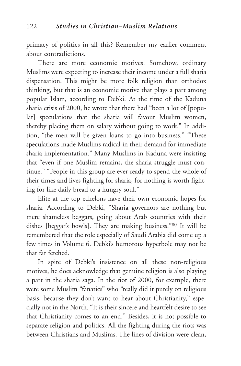primacy of politics in all this? Remember my earlier comment about contradictions.

There are more economic motives. Somehow, ordinary Muslims were expecting to increase their income under a full sharia dispensation. This might be more folk religion than orthodox thinking, but that is an economic motive that plays a part among popular Islam, according to Debki. At the time of the Kaduna sharia crisis of 2000, he wrote that there had "been a lot of [popular] speculations that the sharia will favour Muslim women, thereby placing them on salary without going to work." In addition, "the men will be given loans to go into business." "These speculations made Muslims radical in their demand for immediate sharia implementation." Many Muslims in Kaduna were insisting that "even if one Muslim remains, the sharia struggle must continue." "People in this group are ever ready to spend the whole of their times and lives fighting for sharia, for nothing is worth fighting for like daily bread to a hungry soul."

Elite at the top echelons have their own economic hopes for sharia. According to Debki, "Sharia governors are nothing but mere shameless beggars, going about Arab countries with their dishes [beggar's bowls]. They are making business."80 It will be remembered that the role especially of Saudi Arabia did come up a few times in Volume 6. Debki's humorous hyperbole may not be that far fetched.

In spite of Debki's insistence on all these non-religious motives, he does acknowledge that genuine religion is also playing a part in the sharia saga. In the riot of 2000, for example, there were some Muslim "fanatics" who "really did it purely on religious basis, because they don't want to hear about Christianity," especially not in the North. "It is their sincere and heartfelt desire to see that Christianity comes to an end." Besides, it is not possible to separate religion and politics. All the fighting during the riots was between Christians and Muslims. The lines of division were clean,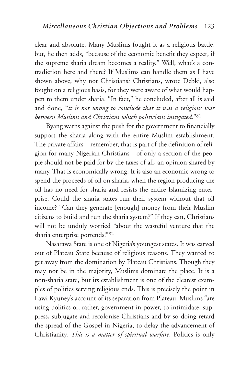clear and absolute. Many Muslims fought it as a religious battle, but, he then adds, "because of the economic benefit they expect, if the supreme sharia dream becomes a reality." Well, what's a contradiction here and there? If Muslims can handle them as I have shown above, why not Christians? Christians, wrote Debki, also fought on a religious basis, for they were aware of what would happen to them under sharia. "In fact," he concluded, after all is said and done, "*it is not wrong to conclude that it was a religious war between Muslims and Christians which politicians instigated*."81

Byang warns against the push for the government to financially support the sharia along with the entire Muslim establishment. The private affairs—remember, that is part of the definition of religion for many Nigerian Christians—of only a section of the people should not be paid for by the taxes of all, an opinion shared by many. That is economically wrong. It is also an economic wrong to spend the proceeds of oil on sharia, when the region producing the oil has no need for sharia and resists the entire Islamizing enterprise. Could the sharia states run their system without that oil income? "Can they generate [enough] money from their Muslim citizens to build and run the sharia system?" If they can, Christians will not be unduly worried "about the wasteful venture that the sharia enterprise portends!"82

Nasarawa State is one of Nigeria's youngest states. It was carved out of Plateau State because of religious reasons. They wanted to get away from the domination by Plateau Christians. Though they may not be in the majority, Muslims dominate the place. It is a non-sharia state, but its establishment is one of the clearest examples of politics serving religious ends. This is precisely the point in Lawi Kyuney's account of its separation from Plateau. Muslims "are using politics or, rather, government in power, to intimidate, suppress, subjugate and recolonise Christians and by so doing retard the spread of the Gospel in Nigeria, to delay the advancement of Christianity. *This is a matter of spiritual warfare*. Politics is only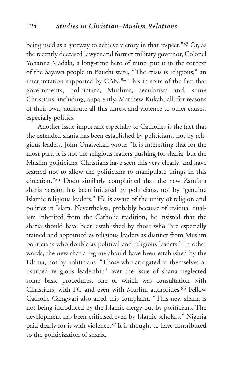being used as a gateway to achieve victory in that respect."83 Or, as the recently deceased lawyer and former military governor, Colonel Yohanna Madaki, a long-time hero of mine, put it in the context of the Sayawa people in Bauchi state, "The crisis is religious," an interpretation supported by CAN.84 This in spite of the fact that governments, politicians, Muslims, secularists and, some Christians, including, apparently, Matthew Kukah, all, for reasons of their own, attribute all this unrest and violence to other causes, especially politics.

Another issue important especially to Catholics is the fact that the extended sharia has been established by politicians, not by religious leaders. John Onaiyekan wrote: "It is interesting that for the most part, it is not the religious leaders pushing for sharia, but the Muslim politicians. Christians have seen this very clearly, and have learned not to allow the politicians to manipulate things in this direction."85 Dodo similarly complained that the new Zamfara sharia version has been initiated by politicians, not by "genuine Islamic religious leaders." He is aware of the unity of religion and politics in Islam. Nevertheless, probably because of residual dualism inherited from the Catholic tradition, he insisted that the sharia should have been established by those who "are especially trained and appointed as religious leaders as distinct from Muslim politicians who double as political and religious leaders." In other words, the new sharia regime should have been established by the Ulama, not by politicians. "Those who arrogated to themselves or usurped religious leadership" over the issue of sharia neglected some basic procedures, one of which was consultation with Christians, with FG and even with Muslim authorities.86 Fellow Catholic Gangwari also aired this complaint. "This new sharia is not being introduced by the Islamic clergy but by politicians. The development has been criticised even by Islamic scholars." Nigeria paid dearly for it with violence.87 It is thought to have contributed to the politicization of sharia.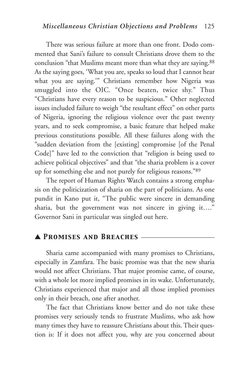There was serious failure at more than one front. Dodo commented that Sani's failure to consult Christians drove them to the conclusion "that Muslims meant more than what they are saying.<sup>88</sup> As the saying goes, 'What you are, speaks so loud that I cannot hear what you are saying.'" Christians remember how Nigeria was smuggled into the OIC. "Once beaten, twice shy." Thus "Christians have every reason to be suspicious." Other neglected issues included failure to weigh "the resultant effect" on other parts of Nigeria, ignoring the religious violence over the past twenty years, and to seek compromise, a basic feature that helped make previous constitutions possible. All these failures along with the "sudden deviation from the [existing] compromise [of the Penal Code]" have led to the conviction that "religion is being used to achieve political objectives" and that "the sharia problem is a cover up for something else and not purely for religious reasons."89

The report of Human Rights Watch contains a strong emphasis on the politicization of sharia on the part of politicians. As one pundit in Kano put it, "The public were sincere in demanding sharia, but the government was not sincere in giving it…." Governor Sani in particular was singled out here.

## ▲ *Promises and Breaches* \_\_\_\_\_\_\_\_\_\_\_\_\_\_\_\_\_\_\_\_\_\_\_

Sharia came accompanied with many promises to Christians, especially in Zamfara. The basic promise was that the new sharia would not affect Christians. That major promise came, of course, with a whole lot more implied promises in its wake. Unfortunately, Christians experienced that major and all those implied promises only in their breach, one after another.

The fact that Christians know better and do not take these promises very seriously tends to frustrate Muslims, who ask how many times they have to reassure Christians about this. Their question is: If it does not affect you, why are you concerned about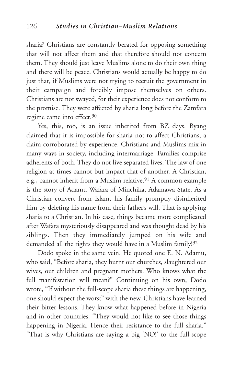sharia? Christians are constantly berated for opposing something that will not affect them and that therefore should not concern them. They should just leave Muslims alone to do their own thing and there will be peace. Christians would actually be happy to do just that, if Muslims were not trying to recruit the government in their campaign and forcibly impose themselves on others. Christians are not swayed, for their experience does not conform to the promise. They were affected by sharia long before the Zamfara regime came into effect.<sup>90</sup>

Yes, this, too, is an issue inherited from BZ days. Byang claimed that it is impossible for sharia not to affect Christians, a claim corroborated by experience. Christians and Muslims mix in many ways in society, including intermarriage. Families comprise adherents of both. They do not live separated lives. The law of one religion at times cannot but impact that of another. A Christian, e.g., cannot inherit from a Muslim relative.<sup>91</sup> A common example is the story of Adamu Wafara of Minchika, Adamawa State. As a Christian convert from Islam, his family promptly disinherited him by deleting his name from their father's will. That is applying sharia to a Christian. In his case, things became more complicated after Wafara mysteriously disappeared and was thought dead by his siblings. Then they immediately jumped on his wife and demanded all the rights they would have in a Muslim family!92

Dodo spoke in the same vein. He quoted one E. N. Adamu, who said, "Before sharia, they burnt our churches, slaughtered our wives, our children and pregnant mothers. Who knows what the full manifestation will mean?" Continuing on his own, Dodo wrote, "If without the full-scope sharia these things are happening, one should expect the worst" with the new. Christians have learned their bitter lessons. They know what happened before in Nigeria and in other countries. "They would not like to see those things happening in Nigeria. Hence their resistance to the full sharia." "That is why Christians are saying a big 'NO!' to the full-scope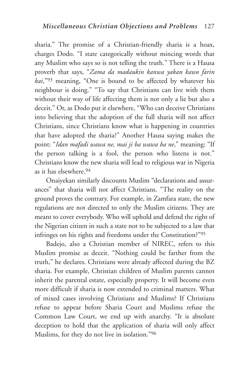sharia." The promise of a Christian-friendly sharia is a hoax, charges Dodo. "I state categorically without mincing words that any Muslim who says so is not telling the truth." There is a Hausa proverb that says, "*Zama da madaukin kanwa yakan kawo farin kai*,"93 meaning, "One is bound to be affected by whatever his neighbour is doing." "To say that Christians can live with them without their way of life affecting them is not only a lie but also a deceit." Or, as Dodo put it elsewhere, "Who can deceive Christians into believing that the adoption of the full sharia will not affect Christians, since Christians know what is happening in countries that have adopted the sharia?" Another Hausa saying makes the point: "*Idan mafadi wawa ne, mai ji ba wawa ba ne*," meaning: "If the person talking is a fool, the person who listens is not." Christians know the new sharia will lead to religious war in Nigeria as it has elsewhere.94

Onaiyekan similarly discounts Muslim "declarations and assurances" that sharia will not affect Christians. "The reality on the ground proves the contrary. For example, in Zamfara state, the new regulations are not directed to only the Muslim citizens. They are meant to cover everybody. Who will uphold and defend the right of the Nigerian citizen in such a state not to be subjected to a law that infringes on his rights and freedoms under the Constitution?"95

Badejo, also a Christian member of NIREC, refers to this Muslim promise as deceit. "Nothing could be farther from the truth," he declares. Christians were already affected during the BZ sharia. For example, Christian children of Muslim parents cannot inherit the parental estate, especially property. It will become even more difficult if sharia is now extended to criminal matters. What of mixed cases involving Christians and Muslims? If Christians refuse to appear before Sharia Court and Muslims refuse the Common Law Court, we end up with anarchy. "It is absolute deception to hold that the application of sharia will only affect Muslims, for they do not live in isolation."96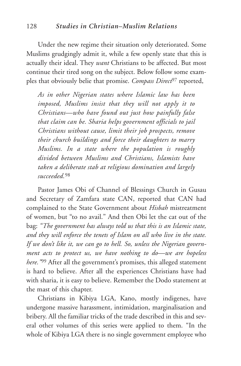Under the new regime their situation only deteriorated. Some Muslims grudgingly admit it, while a few openly state that this is actually their ideal. They *want* Christians to be affected. But most continue their tired song on the subject. Below follow some examples that obviously belie that promise. *Compass Direct*<sup>97</sup> reported,

*As in other Nigerian states where Islamic law has been imposed, Muslims insist that they will not apply it to Christians—who have found out just how painfully false that claim can be. Sharia helps government officials to jail Christians without cause, limit their job prospects, remove their church buildings and force their daughters to marry Muslims. In a state where the population is roughly divided between Muslims and Christians, Islamists have taken a deliberate stab at religious domination and largely succeeded.*<sup>98</sup>

Pastor James Obi of Channel of Blessings Church in Gusau and Secretary of Zamfara state CAN, reported that CAN had complained to the State Government about *Hisbah* mistreatment of women, but "to no avail." And then Obi let the cat out of the bag: *"The government has always told us that this is an Islamic state, and they will enforce the tenets of Islam on all who live in the state. If we don't like it, we can go to hell. So, unless the Nigerian government acts to protect us, we have nothing to do—we are hopeless here."*<sup>99</sup> After all the government's promises, this alleged statement is hard to believe. After all the experiences Christians have had with sharia, it is easy to believe. Remember the Dodo statement at the mast of this chapter.

Christians in Kibiya LGA, Kano, mostly indigenes, have undergone massive harassment, intimidation, marginalisation and bribery. All the familiar tricks of the trade described in this and several other volumes of this series were applied to them. "In the whole of Kibiya LGA there is no single government employee who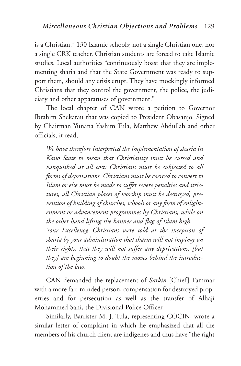is a Christian." 130 Islamic schools; not a single Christian one, nor a single CRK teacher. Christian students are forced to take Islamic studies. Local authorities "continuously boast that they are implementing sharia and that the State Government was ready to support them, should any crisis erupt. They have mockingly informed Christians that they control the government, the police, the judiciary and other apparatuses of government."

The local chapter of CAN wrote a petition to Governor Ibrahim Shekarau that was copied to President Obasanjo. Signed by Chairman Yunana Yashim Tula, Matthew Abdullah and other officials, it read,

*We have therefore interpreted the implementation of sharia in Kano State to mean that Christianity must be cursed and vanquished at all cost: Christians must be subjected to all forms of deprivations. Christians must be coerced to convert to Islam or else must be made to suffer severe penalties and strictures, all Christian places of worship must be destroyed, prevention of building of churches, schools or any form of enlightenment or advancement programmes by Christians, while on the other hand lifting the banner and flag of Islam high. Your Excellency, Christians were told at the inception of sharia by your administration that sharia will not impinge on their rights, that they will not suffer any deprivations, [but they] are beginning to doubt the moves behind the introduction of the law.*

CAN demanded the replacement of *Sarkin* [Chief] Fammar with a more fair-minded person, compensation for destroyed properties and for persecution as well as the transfer of Alhaji Mohammed Sani, the Divisional Police Officer.

Similarly, Barrister M. J. Tula, representing COCIN, wrote a similar letter of complaint in which he emphasized that all the members of his church client are indigenes and thus have "the right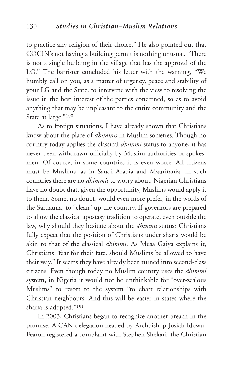to practice any religion of their choice." He also pointed out that COCIN's not having a building permit is nothing unusual. "There is not a single building in the village that has the approval of the LG." The barrister concluded his letter with the warning, "We humbly call on you, as a matter of urgency, peace and stability of your LG and the State, to intervene with the view to resolving the issue in the best interest of the parties concerned, so as to avoid anything that may be unpleasant to the entire community and the State at large."100

As to foreign situations, I have already shown that Christians know about the place of *dhimmis* in Muslim societies. Though no country today applies the classical *dhimmi* status to anyone, it has never been withdrawn officially by Muslim authorities or spokesmen. Of course, in some countries it is even worse: All citizens must be Muslims, as in Saudi Arabia and Mauritania. In such countries there are no *dhimmis* to worry about. Nigerian Christians have no doubt that, given the opportunity, Muslims would apply it to them. Some, no doubt, would even more prefer, in the words of the Sardauna, to "clean" up the country. If governors are prepared to allow the classical apostasy tradition to operate, even outside the law, why should they hesitate about the *dhimmi* status? Christians fully expect that the position of Christians under sharia would be akin to that of the classical *dhimmi*. As Musa Gaiya explains it, Christians "fear for their fate, should Muslims be allowed to have their way." It seems they have already been turned into second-class citizens. Even though today no Muslim country uses the *dhimmi* system, in Nigeria it would not be unthinkable for "over-zealous Muslims" to resort to the system "to chart relationships with Christian neighbours. And this will be easier in states where the sharia is adopted."101

In 2003, Christians began to recognize another breach in the promise. A CAN delegation headed by Archbishop Josiah Idowu-Fearon registered a complaint with Stephen Shekari, the Christian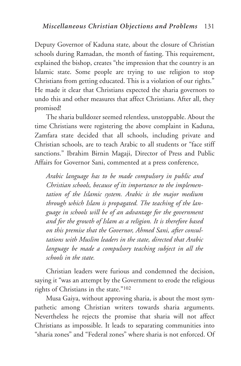Deputy Governor of Kaduna state, about the closure of Christian schools during Ramadan, the month of fasting. This requirement, explained the bishop, creates "the impression that the country is an Islamic state. Some people are trying to use religion to stop Christians from getting educated. This is a violation of our rights." He made it clear that Christians expected the sharia governors to undo this and other measures that affect Christians. After all, they promised!

The sharia bulldozer seemed relentless, unstoppable. About the time Christians were registering the above complaint in Kaduna, Zamfara state decided that all schools, including private and Christian schools, are to teach Arabic to all students or "face stiff sanctions." Ibrahim Birnin Magaji, Director of Press and Public Affairs for Governor Sani, commented at a press conference,

*Arabic language has to be made compulsory in public and Christian schools, because of its importance to the implementation of the Islamic system. Arabic is the major medium through which Islam is propagated. The teaching of the language in schools will be of an advantage for the government and for the growth of Islam as a religion. It is therefore based on this premise that the Governor, Ahmed Sani, after consultations with Muslim leaders in the state, directed that Arabic language be made a compulsory teaching subject in all the schools in the state.*

Christian leaders were furious and condemned the decision, saying it "was an attempt by the Government to erode the religious rights of Christians in the state."102

Musa Gaiya, without approving sharia, is about the most sympathetic among Christian writers towards sharia arguments. Nevertheless he rejects the promise that sharia will not affect Christians as impossible. It leads to separating communities into "sharia zones" and "Federal zones" where sharia is not enforced. Of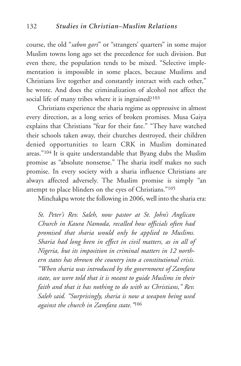course, the old "*sabon gari*" or "strangers' quarters" in some major Muslim towns long ago set the precedence for such division. But even there, the population tends to be mixed. "Selective implementation is impossible in some places, because Muslims and Christians live together and constantly interact with each other," he wrote. And does the criminalization of alcohol not affect the social life of many tribes where it is ingrained?<sup>103</sup>

Christians experience the sharia regime as oppressive in almost every direction, as a long series of broken promises. Musa Gaiya explains that Christians "fear for their fate." "They have watched their schools taken away, their churches destroyed, their children denied opportunities to learn CRK in Muslim dominated areas."104 It is quite understandable that Byang dubs the Muslim promise as "absolute nonsense." The sharia itself makes no such promise. In every society with a sharia influence Christians are always affected adversely. The Muslim promise is simply "an attempt to place blinders on the eyes of Christians."105

Minchakpu wrote the following in 2006, well into the sharia era:

*St. Peter's Rev. Saleh, now pastor at St. John's Anglican Church in Kaura Namoda, recalled how officials often had promised that sharia would only be applied to Muslims. Sharia had long been in effect in civil matters, as in all of Nigeria, but its imposition in criminal matters in 12 northern states has thrown the country into a constitutional crisis. "When sharia was introduced by the government of Zamfara state, we were told that it is meant to guide Muslims in their faith and that it has nothing to do with us Christians," Rev. Saleh said. "Surprisingly, sharia is now a weapon being used against the church in Zamfara state."*<sup>106</sup>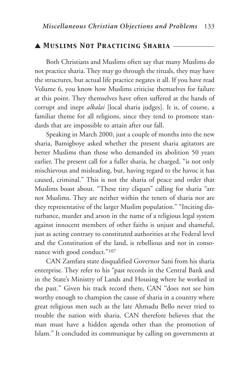# ▲ *Muslims Not Practicing Sharia* \_\_\_\_\_\_\_\_\_\_\_\_\_

Both Christians and Muslims often say that many Muslims do not practice sharia. They may go through the rituals, they may have the structures, but actual life practice negates it all. If you have read Volume 6, you know how Muslims criticise themselves for failure at this point. They themselves have often suffered at the hands of corrupt and inept *alkalai* [local sharia judges]. It is, of course, a familiar theme for all religions, since they tend to promote standards that are impossible to attain after our fall.

Speaking in March 2000, just a couple of months into the new sharia, Bamigboye asked whether the present sharia agitators are better Muslims than those who demanded its abolition 50 years earlier. The present call for a fuller sharia, he charged, "is not only mischievous and misleading, but, having regard to the havoc it has caused, criminal." This is not the sharia of peace and order that Muslims boast about. "These tiny cliques" calling for sharia "are not Muslims. They are neither within the tenets of sharia nor are they representative of the larger Muslim population." "Inciting disturbance, murder and arson in the name of a religious legal system against innocent members of other faiths is unjust and shameful, just as acting contrary to constituted authorities at the Federal level and the Constitution of the land, is rebellious and not in consonance with good conduct."107

CAN Zamfara state disqualified Governor Sani from his sharia enterprise. They refer to his "past records in the Central Bank and in the State's Ministry of Lands and Housing where he worked in the past." Given his track record there, CAN "does not see him worthy enough to champion the cause of sharia in a country where great religious men such as the late Ahmadu Bello never tried to trouble the nation with sharia. CAN therefore believes that the man must have a hidden agenda other than the promotion of Islam." It concluded its communique by calling on governments at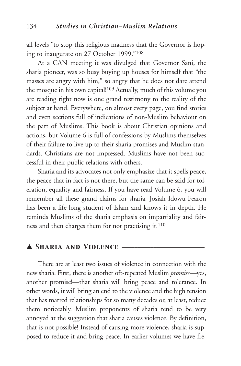all levels "to stop this religious madness that the Governor is hoping to inaugurate on 27 October 1999."108

At a CAN meeting it was divulged that Governor Sani, the sharia pioneer, was so busy buying up houses for himself that "the masses are angry with him," so angry that he does not dare attend the mosque in his own capital!109 Actually, much of this volume you are reading right now is one grand testimony to the reality of the subject at hand. Everywhere, on almost every page, you find stories and even sections full of indications of non-Muslim behaviour on the part of Muslims. This book is about Christian opinions and actions, but Volume 6 is full of confessions by Muslims themselves of their failure to live up to their sharia promises and Muslim standards. Christians are not impressed. Muslims have not been successful in their public relations with others.

Sharia and its advocates not only emphasize that it spells peace, the peace that in fact is not there, but the same can be said for toleration, equality and fairness. If you have read Volume 6, you will remember all these grand claims for sharia. Josiah Idowu-Fearon has been a life-long student of Islam and knows it in depth. He reminds Muslims of the sharia emphasis on impartiality and fairness and then charges them for not practising it.<sup>110</sup>

# ▲ *Sharia and Violence* \_\_\_\_\_\_\_\_\_\_\_\_\_\_\_\_\_\_\_\_\_\_\_\_\_\_

There are at least two issues of violence in connection with the new sharia. First, there is another oft-repeated Muslim *promise*—yes, another promise!—that sharia will bring peace and tolerance. In other words, it will bring an end to the violence and the high tension that has marred relationships for so many decades or, at least, reduce them noticeably. Muslim proponents of sharia tend to be very annoyed at the suggestion that sharia causes violence. By definition, that is not possible! Instead of causing more violence, sharia is supposed to reduce it and bring peace. In earlier volumes we have fre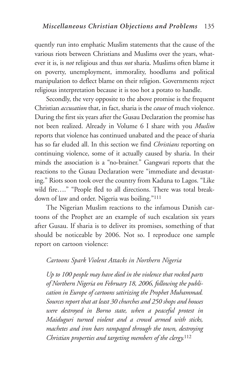quently run into emphatic Muslim statements that the cause of the various riots between Christians and Muslims over the years, whatever it is, is *not* religious and thus *not* sharia. Muslims often blame it on poverty, unemployment, immorality, hoodlums and political manipulation to deflect blame on their religion. Governments reject religious interpretation because it is too hot a potato to handle.

Secondly, the very opposite to the above promise is the frequent Christian *accusation* that, in fact, sharia is the *cause* of much violence. During the first six years after the Gusau Declaration the promise has not been realized. Already in Volume 6 I share with you *Muslim* reports that violence has continued unabated and the peace of sharia has so far eluded all. In this section we find *Christians* reporting on continuing violence, some of it actually caused by sharia. In their minds the association is a "no-brainer." Gangwari reports that the reactions to the Gusau Declaration were "immediate and devastating." Riots soon took over the country from Kaduna to Lagos. "Like wild fire…." "People fled to all directions. There was total breakdown of law and order. Nigeria was boiling."111

The Nigerian Muslim reactions to the infamous Danish cartoons of the Prophet are an example of such escalation six years after Gusau. If sharia is to deliver its promises, something of that should be noticeable by 2006. Not so. I reproduce one sample report on cartoon violence:

## *Cartoons Spark Violent Attacks in Northern Nigeria*

*Up to 100 people may have died in the violence that rocked parts of Northern Nigeria on February 18, 2006, following the publication in Europe of cartoons satirizing the Prophet Muhammad. Sources report that at least 30 churches and 250 shops and houses were destroyed in Borno state, when a peaceful protest in Maiduguri turned violent and a crowd armed with sticks, machetes and iron bars rampaged through the town, destroying Christian properties and targeting members of the clergy.*<sup>112</sup>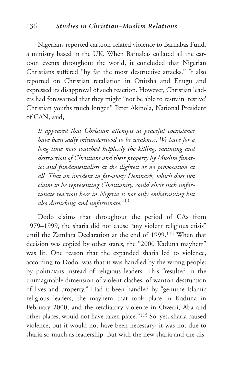Nigerians reported cartoon-related violence to Barnabas Fund, a ministry based in the UK. When Barnabas collated all the cartoon events throughout the world, it concluded that Nigerian Christians suffered "by far the most destructive attacks." It also reported on Christian retaliation in Onitsha and Enugu and expressed its disapproval of such reaction. However, Christian leaders had forewarned that they might "not be able to restrain 'restive' Christian youths much longer." Peter Akinola, National President of CAN, said,

*It appeared that Christian attempts at peaceful coexistence have been sadly misunderstood to be weakness. We have for a long time now watched helplessly the killing, maiming and destruction of Christians and their property by Muslim fanatics and fundamentalists at the slightest or no provocation at all. That an incident in far-away Denmark, which does not claim to be representing Christianity, could elicit such unfortunate reaction here in Nigeria is not only embarrassing but also disturbing and unfortunate.*<sup>113</sup>

Dodo claims that throughout the period of CAs from 1979–1999, the sharia did not cause "any violent religious crisis" until the Zamfara Declaration at the end of 1999.114 When that decision was copied by other states, the "2000 Kaduna mayhem" was lit. One reason that the expanded sharia led to violence, according to Dodo, was that it was handled by the wrong people: by politicians instead of religious leaders. This "resulted in the unimaginable dimension of violent clashes, of wanton destruction of lives and property." Had it been handled by "genuine Islamic religious leaders, the mayhem that took place in Kaduna in February 2000, and the retaliatory violence in Owerri, Aba and other places, would not have taken place."115 So, yes, sharia caused violence, but it would not have been necessary; it was not due to sharia so much as leadership. But with the new sharia and the dis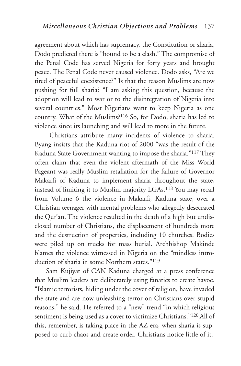agreement about which has supremacy, the Constitution or sharia, Dodo predicted there is "bound to be a clash." The compromise of the Penal Code has served Nigeria for forty years and brought peace. The Penal Code never caused violence. Dodo asks, "Are we tired of peaceful coexistence?" Is that the reason Muslims are now pushing for full sharia? "I am asking this question, because the adoption will lead to war or to the disintegration of Nigeria into several countries." Most Nigerians want to keep Nigeria as one country. What of the Muslims?116 So, for Dodo, sharia has led to violence since its launching and will lead to more in the future.

Christians attribute many incidents of violence to sharia. Byang insists that the Kaduna riot of 2000 "was the result of the Kaduna State Government wanting to impose the sharia."117 They often claim that even the violent aftermath of the Miss World Pageant was really Muslim retaliation for the failure of Governor Makarfi of Kaduna to implement sharia throughout the state, instead of limiting it to Muslim-majority LGAs.118 You may recall from Volume 6 the violence in Makarfi, Kaduna state, over a Christian teenager with mental problems who allegedly desecrated the Qur'an. The violence resulted in the death of a high but undisclosed number of Christians, the displacement of hundreds more and the destruction of properties, including 10 churches. Bodies were piled up on trucks for mass burial. Archbishop Makinde blames the violence witnessed in Nigeria on the "mindless introduction of sharia in some Northern states."119

Sam Kujiyat of CAN Kaduna charged at a press conference that Muslim leaders are deliberately using fanatics to create havoc. "Islamic terrorists, hiding under the cover of religion, have invaded the state and are now unleashing terror on Christians over stupid reasons," he said. He referred to a "new" trend "in which religious sentiment is being used as a cover to victimize Christians."120 All of this, remember, is taking place in the AZ era, when sharia is supposed to curb chaos and create order. Christians notice little of it.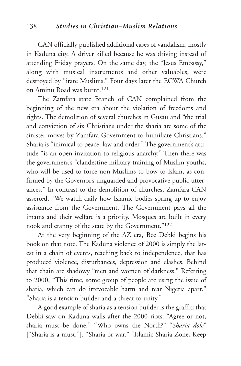CAN officially published additional cases of vandalism, mostly in Kaduna city. A driver killed because he was driving instead of attending Friday prayers. On the same day, the "Jesus Embassy," along with musical instruments and other valuables, were destroyed by "irate Muslims." Four days later the ECWA Church on Aminu Road was burnt.121

The Zamfara state Branch of CAN complained from the beginning of the new era about the violation of freedoms and rights. The demolition of several churches in Gusau and "the trial and conviction of six Christians under the sharia are some of the sinister moves by Zamfara Government to humiliate Christians." Sharia is "inimical to peace, law and order." The government's attitude "is an open invitation to religious anarchy." Then there was the government's "clandestine military training of Muslim youths, who will be used to force non-Muslims to bow to Islam, as confirmed by the Governor's unguarded and provocative public utterances." In contrast to the demolition of churches, Zamfara CAN asserted, "We watch daily how Islamic bodies spring up to enjoy assistance from the Government. The Government pays all the imams and their welfare is a priority. Mosques are built in every nook and cranny of the state by the Government."122

At the very beginning of the AZ era, Bee Debki begins his book on that note. The Kaduna violence of 2000 is simply the latest in a chain of events, reaching back to independence, that has produced violence, disturbances, depression and clashes. Behind that chain are shadowy "men and women of darkness." Referring to 2000, "This time, some group of people are using the issue of sharia, which can do irrevocable harm and tear Nigeria apart." "Sharia is a tension builder and a threat to unity."

A good example of sharia as a tension builder is the graffiti that Debki saw on Kaduna walls after the 2000 riots. "Agree or not, sharia must be done." "Who owns the North?" "*Sharia dole*" ["Sharia is a must."]. "Sharia or war." "Islamic Sharia Zone, Keep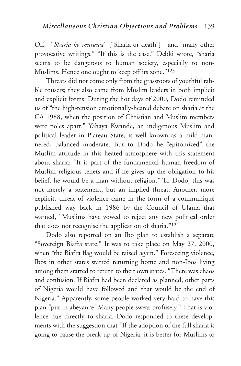Off." "*Sharia ko mutuwa*" ["Sharia or death"]—and "many other provocative writings." "If this is the case," Debki wrote, "sharia seems to be dangerous to human society, especially to non-Muslims. Hence one ought to keep off its zone."123

Threats did not come only from the grassroots of youthful rabble rousers; they also came from Muslim leaders in both implicit and explicit forms. During the hot days of 2000, Dodo reminded us of "the high-tension emotionally-heated debate on sharia at the CA 1988, when the position of Christian and Muslim members were poles apart." Yahaya Kwande, an indigenous Muslim and political leader in Plateau State, is well known as a mild-mannered, balanced moderate. But to Dodo he "epitomized" the Muslim attitude in this heated atmosphere with this statement about sharia: "It is part of the fundamental human freedom of Muslim religious tenets and if he gives up the obligation to his belief, he would be a man without religion." To Dodo, this was not merely a statement, but an implied threat. Another, more explicit, threat of violence came in the form of a communiqué published way back in 1986 by the Council of Ulama that warned, "Muslims have vowed to reject any new political order that does not recognise the application of sharia.**"**<sup>124</sup>

Dodo also reported on an Ibo plan to establish a separate "Sovereign Biafra state." It was to take place on May 27, 2000, when "the Biafra flag would be raised again." Foreseeing violence, Ibos in other states started returning home and non-Ibos living among them started to return to their own states. "There was chaos and confusion. If Biafra had been declared as planned, other parts of Nigeria would have followed and that would be the end of Nigeria." Apparently, some people worked very hard to have this plan "put in abeyance. Many people sweat profusely." That is violence due directly to sharia. Dodo responded to these developments with the suggestion that "If the adoption of the full sharia is going to cause the break-up of Nigeria, it is better for Muslims to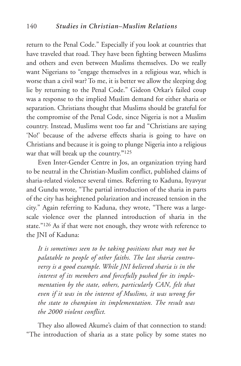return to the Penal Code." Especially if you look at countries that have traveled that road. They have been fighting between Muslims and others and even between Muslims themselves. Do we really want Nigerians to "engage themselves in a religious war, which is worse than a civil war? To me, it is better we allow the sleeping dog lie by returning to the Penal Code." Gideon Orkar's failed coup was a response to the implied Muslim demand for either sharia or separation. Christians thought that Muslims should be grateful for the compromise of the Penal Code, since Nigeria is not a Muslim country. Instead, Muslims went too far and "Christians are saying 'No!' because of the adverse effects sharia is going to have on Christians and because it is going to plunge Nigeria into a religious war that will break up the country.**"**<sup>125</sup>

Even Inter-Gender Centre in Jos, an organization trying hard to be neutral in the Christian-Muslim conflict, published claims of sharia-related violence several times. Referring to Kaduna, Ityavyar and Gundu wrote, "The partial introduction of the sharia in parts of the city has heightened polarization and increased tension in the city." Again referring to Kaduna, they wrote, "There was a largescale violence over the planned introduction of sharia in the state."<sup>126</sup> As if that were not enough, they wrote with reference to the JNI of Kaduna:

*It is sometimes seen to be taking positions that may not be palatable to people of other faiths. The last sharia controversy is a good example. While JNI believed sharia is in the interest of its members and forcefully pushed for its implementation by the state, others, particularly CAN, felt that even if it was in the interest of Muslims, it was wrong for the state to champion its implementation. The result was the 2000 violent conflict.*

They also allowed Akume's claim of that connection to stand: "The introduction of sharia as a state policy by some states no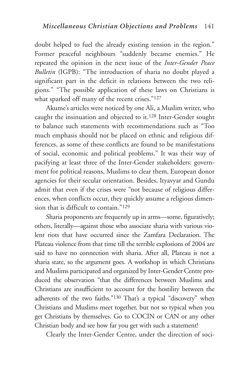doubt helped to fuel the already existing tension in the region." Former peaceful neighbours "suddenly became enemies." He repeated the opinion in the next issue of the *Inter-Gender Peace Bulletin* (IGPB): "The introduction of sharia no doubt played a significant part in the deficit in relations between the two religions." "The possible application of these laws on Christians is what sparked off many of the recent crises."127

Akume's articles were noticed by one Ali, a Muslim writer, who caught the insinuation and objected to it.128 Inter-Gender sought to balance such statements with recommendations such as "Too much emphasis should not be placed on ethnic and religious differences, as some of these conflicts are found to be manifestations of social, economic and political problems." It was their way of pacifying at least three of the Inter-Gender stakeholders: government for political reasons, Muslims to clear them, European donor agencies for their secular orientation. Besides, Ityavyar and Gundu admit that even if the crises were "not because of religious differences, when conflicts occur, they quickly assume a religious dimension that is difficult to contain."129

Sharia proponents are frequently up in arms—some, figuratively; others, literally—against those who associate sharia with various violent riots that have occurred since the Zamfara Declaration. The Plateau violence from that time till the terrible explosions of 2004 are said to have no connection with sharia. After all, Plateau is not a sharia state, so the argument goes. A workshop in which Christians and Muslims participated and organized by Inter-Gender Centre produced the observation "that the differences between Muslims and Christians are insufficient to account for the hostility between the adherents of the two faiths."130 That's a typical "discovery" when Christians and Muslims meet together, but not so typical when you get Christians by themselves. Go to COCIN or CAN or any other Christian body and see how far you get with such a statement!

Clearly the Inter-Gender Centre, under the direction of soci-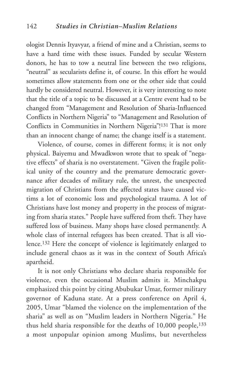ologist Dennis Ityavyar, a friend of mine and a Christian, seems to have a hard time with these issues. Funded by secular Western donors, he has to tow a neutral line between the two religions, "neutral" as secularists define it, of course. In this effort he would sometimes allow statements from one or the other side that could hardly be considered neutral. However, it is very interesting to note that the title of a topic to be discussed at a Centre event had to be changed from "Management and Resolution of Sharia-Influenced Conflicts in Northern Nigeria" to "Management and Resolution of Conflicts in Communities in Northern Nigeria"!<sup>131</sup> That is more than an innocent change of name; the change itself is a statement.

Violence, of course, comes in different forms; it is not only physical. Baiyemu and Mwadkwon wrote that to speak of "negative effects" of sharia is no overstatement. "Given the fragile political unity of the country and the premature democratic governance after decades of military rule, the unrest, the unexpected migration of Christians from the affected states have caused victims a lot of economic loss and psychological trauma. A lot of Christians have lost money and property in the process of migrating from sharia states." People have suffered from theft. They have suffered loss of business. Many shops have closed permanently. A whole class of internal refugees has been created. That is all violence.132 Here the concept of violence is legitimately enlarged to include general chaos as it was in the context of South Africa's apartheid.

It is not only Christians who declare sharia responsible for violence, even the occasional Muslim admits it. Minchakpu emphasized this point by citing Abubukar Umar, former military governor of Kaduna state. At a press conference on April 4, 2005, Umar "blamed the violence on the implementation of the sharia" as well as on "Muslim leaders in Northern Nigeria." He thus held sharia responsible for the deaths of 10,000 people,133 a most unpopular opinion among Muslims, but nevertheless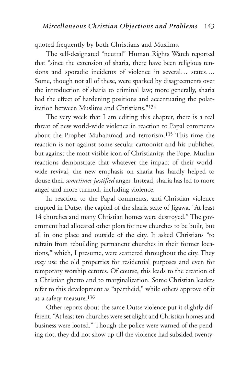quoted frequently by both Christians and Muslims.

The self-designated "neutral" Human Rights Watch reported that "since the extension of sharia, there have been religious tensions and sporadic incidents of violence in several… states…. Some, though not all of these, were sparked by disagreements over the introduction of sharia to criminal law; more generally, sharia had the effect of hardening positions and accentuating the polarization between Muslims and Christians."134

The very week that I am editing this chapter, there is a real threat of new world-wide violence in reaction to Papal comments about the Prophet Muhammad and terrorism.135 This time the reaction is not against some secular cartoonist and his publisher, but against the most visible icon of Christianity, the Pope. Muslim reactions demonstrate that whatever the impact of their worldwide revival, the new emphasis on sharia has hardly helped to douse their *sometimes-justified* anger. Instead, sharia has led to more anger and more turmoil, including violence.

In reaction to the Papal comments, anti-Christian violence erupted in Dutse, the capital of the sharia state of Jigawa. "At least 14 churches and many Christian homes were destroyed." The government had allocated other plots for new churches to be built, but all in one place and outside of the city. It asked Christians "to refrain from rebuilding permanent churches in their former locations," which, I presume, were scattered throughout the city. They *may* use the old properties for residential purposes and even for temporary worship centres. Of course, this leads to the creation of a Christian ghetto and to marginalization. Some Christian leaders refer to this development as "apartheid," while others approve of it as a safety measure.136

Other reports about the same Dutse violence put it slightly different. "At least ten churches were set alight and Christian homes and business were looted." Though the police were warned of the pending riot, they did not show up till the violence had subsided twenty-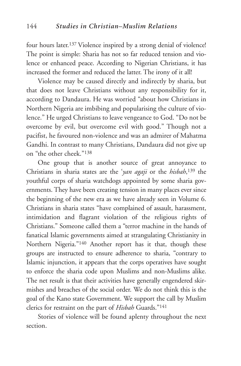four hours later.137 Violence inspired by a strong denial of violence! The point is simple: Sharia has not so far reduced tension and violence or enhanced peace. According to Nigerian Christians, it has increased the former and reduced the latter. The irony of it all!

Violence may be caused directly and indirectly by sharia, but that does not leave Christians without any responsibility for it, according to Dandaura. He was worried "about how Christians in Northern Nigeria are imbibing and popularising the culture of violence." He urged Christians to leave vengeance to God. "Do not be overcome by evil, but overcome evil with good." Though not a pacifist, he favoured non-violence and was an admirer of Mahatma Gandhi. In contrast to many Christians, Dandaura did not give up on "the other cheek."138

One group that is another source of great annoyance to Christians in sharia states are the '*yan agaji* or the *hisbah*, <sup>139</sup> the youthful corps of sharia watchdogs appointed by some sharia governments. They have been creating tension in many places ever since the beginning of the new era as we have already seen in Volume 6. Christians in sharia states "have complained of assault, harassment, intimidation and flagrant violation of the religious rights of Christians." Someone called them a "terror machine in the hands of fanatical Islamic governments aimed at strangulating Christianity in Northern Nigeria."140 Another report has it that, though these groups are instructed to ensure adherence to sharia, "contrary to Islamic injunction, it appears that the corps operatives have sought to enforce the sharia code upon Muslims and non-Muslims alike. The net result is that their activities have generally engendered skirmishes and breaches of the social order. We do not think this is the goal of the Kano state Government. We support the call by Muslim clerics for restraint on the part of *Hisbah* Guards."141

Stories of violence will be found aplenty throughout the next section.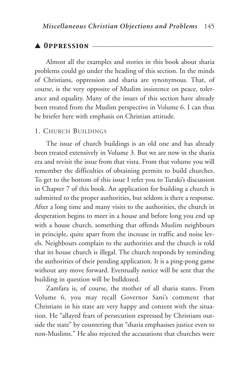# ▲ *Oppression* \_\_\_\_\_\_\_\_\_\_\_\_\_\_\_\_\_\_\_\_\_\_\_\_\_\_\_\_\_\_\_\_\_\_\_\_\_\_

Almost all the examples and stories in this book about sharia problems could go under the heading of this section. In the minds of Christians, oppression and sharia are synonymous. That, of course, is the very opposite of Muslim insistence on peace, tolerance and equality. Many of the issues of this section have already been treated from the Muslim perspective in Volume 6. I can thus be briefer here with emphasis on Christian attitude.

#### 1. CHURCH BUILDINGS

The issue of church buildings is an old one and has already been treated extensively in Volume 3. But we are now in the sharia era and revisit the issue from that vista. From that volume you will remember the difficulties of obtaining permits to build churches. To get to the bottom of this issue I refer you to Turaki's discussion in Chapter 7 of this book. An application for building a church is submitted to the proper authorities, but seldom is there a response. After a long time and many visits to the authorities, the church in desperation begins to meet in a house and before long you end up with a house church, something that offends Muslim neighbours in principle, quite apart from the increase in traffic and noise levels. Neighbours complain to the authorities and the church is told that its house church is illegal. The church responds by reminding the authorities of their pending application. It is a ping-pong game without any move forward. Eventually notice will be sent that the building in question will be bulldozed.

Zamfara is, of course, the mother of all sharia states. From Volume 6, you may recall Governor Sani's comment that Christians in his state are very happy and content with the situation. He "allayed fears of persecution expressed by Christians outside the state" by countering that "sharia emphasises justice even to non-Muslims." He also rejected the accusations that churches were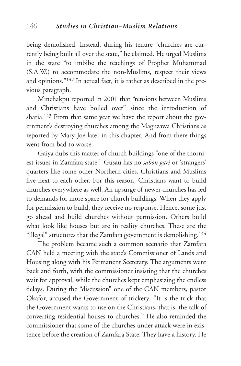being demolished. Instead, during his tenure "churches are currently being built all over the state," he claimed. He urged Muslims in the state "to imbibe the teachings of Prophet Muhammad (S.A.W.) to accommodate the non-Muslims, respect their views and opinions."142 In actual fact, it is rather as described in the previous paragraph.

Minchakpu reported in 2001 that "tensions between Muslims and Christians have boiled over" since the introduction of sharia.143 From that same year we have the report about the government's destroying churches among the Maguzawa Christians as reported by Mary Joe later in this chapter. And from there things went from bad to worse.

Gaiya dubs this matter of church buildings "one of the thorniest issues in Zamfara state." Gusau has no *sabon gari* or 'strangers' quarters like some other Northern cities. Christians and Muslims live next to each other. For this reason, Christians want to build churches everywhere as well. An upsurge of newer churches has led to demands for more space for church buildings. When they apply for permission to build, they receive no response. Hence, some just go ahead and build churches without permission. Others build what look like houses but are in reality churches. These are the "illegal" structures that the Zamfara government is demolishing.144

The problem became such a common scenario that Zamfara CAN held a meeting with the state's Commissioner of Lands and Housing along with his Permanent Secretary. The arguments went back and forth, with the commissioner insisting that the churches wait for approval, while the churches kept emphasizing the endless delays. During the "discussion" one of the CAN members, pastor Okafor, accused the Government of trickery: "It is the trick that the Government wants to use on the Christians, that is, the talk of converting residential houses to churches." He also reminded the commissioner that some of the churches under attack were in existence before the creation of Zamfara State. They have a history. He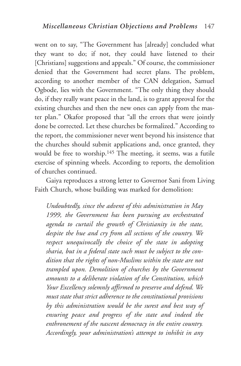went on to say, "The Government has [already] concluded what they want to do; if not, they could have listened to their [Christians] suggestions and appeals." Of course, the commissioner denied that the Government had secret plans. The problem, according to another member of the CAN delegation, Samuel Ogbode, lies with the Government. "The only thing they should do, if they really want peace in the land, is to grant approval for the existing churches and then the new ones can apply from the master plan." Okafor proposed that "all the errors that were jointly done be corrected. Let these churches be formalized." According to the report, the commissioner never went beyond his insistence that the churches should submit applications and, once granted, they would be free to worship.145 The meeting, it seems, was a futile exercise of spinning wheels. According to reports, the demolition of churches continued.

Gaiya reproduces a strong letter to Governor Sani from Living Faith Church, whose building was marked for demolition:

*Undoubtedly, since the advent of this administration in May 1999, the Government has been pursuing an orchestrated agenda to curtail the growth of Christianity in the state, despite the hue and cry from all sections of the country. We respect unequivocally the choice of the state in adopting sharia, but in a federal state such must be subject to the condition that the rights of non-Muslims within the state are not trampled upon. Demolition of churches by the Government amounts to a deliberate violation of the Constitution, which Your Excellency solemnly affirmed to preserve and defend. We must state that strict adherence to the constitutional provisions by this administration would be the surest and best way of ensuring peace and progress of the state and indeed the enthronement of the nascent democracy in the entire country. Accordingly, your administration's attempt to inhibit in any*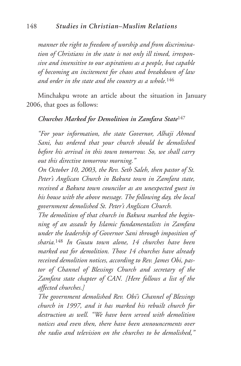*manner the right to freedom of worship and from discrimination of Christians in the state is not only ill timed, irresponsive and insensitive to our aspirations as a people, but capable of becoming an incitement for chaos and breakdown of law and order in the state and the country as a whole.*<sup>146</sup>

Minchakpu wrote an article about the situation in January 2006, that goes as follows:

## *Churches Marked for Demolition in Zamfara State*<sup>147</sup>

*"For your information, the state Governor, Alhaji Ahmed Sani, has ordered that your church should be demolished before his arrival in this town tomorrow. So, we shall carry out this directive tomorrow morning."*

*On October 10, 2003, the Rev. Seth Saleh, then pastor of St. Peter's Anglican Church in Bakura town in Zamfara state, received a Bakura town councilor as an unexpected guest in his house with the above message. The following day, the local government demolished St. Peter's Anglican Church.*

*The demolition of that church in Bakura marked the beginning of an assault by Islamic fundamentalists in Zamfara under the leadership of Governor Sani through imposition of sharia.*<sup>148</sup> *In Gusau town alone, 14 churches have been marked out for demolition. Those 14 churches have already received demolition notices, according to Rev. James Obi, pastor of Channel of Blessings Church and secretary of the Zamfara state chapter of CAN. [Here follows a list of the affected churches.]*

*The government demolished Rev. Obi's Channel of Blessings church in 1997, and it has marked his rebuilt church for destruction as well. "We have been served with demolition notices and even then, there have been announcements over the radio and television on the churches to be demolished,"*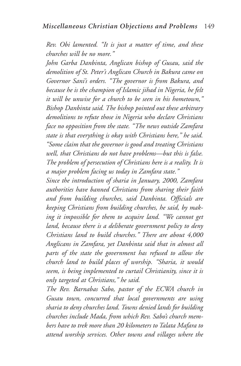*Rev. Obi lamented. "It is just a matter of time, and these churches will be no more."*

*John Garba Danbinta, Anglican bishop of Gusau, said the demolition of St. Peter's Anglican Church in Bakura came on Governor Sani's orders. "The governor is from Bakura, and because he is the champion of Islamic jihad in Nigeria, he felt it will be unwise for a church to be seen in his hometown," Bishop Danbinta said. The bishop pointed out these arbitrary demolitions to refute those in Nigeria who declare Christians face no opposition from the state. "The news outside Zamfara state is that everything is okay with Christians here," he said. "Some claim that the governor is good and treating Christians well, that Christians do not have problems—but this is false. The problem of persecution of Christians here is a reality. It is a major problem facing us today in Zamfara state."*

*Since the introduction of sharia in January, 2000, Zamfara authorities have banned Christians from sharing their faith and from building churches, said Danbinta. Officials are keeping Christians from building churches, he said, by making it impossible for them to acquire land. "We cannot get land, because there is a deliberate government policy to deny Christians land to build churches." There are about 4,000 Anglicans in Zamfara, yet Danbinta said that in almost all parts of the state the government has refused to allow the church land to build places of worship. "Sharia, it would seem, is being implemented to curtail Christianity, since it is only targeted at Christians," he said.*

*The Rev. Barnabas Sabo, pastor of the ECWA church in Gusau town, concurred that local governments are using sharia to deny churches land. Towns denied lands for building churches include Mada, from which Rev. Sabo's church members have to trek more than 20 kilometers to Talata Mafara to attend worship services. Other towns and villages where the*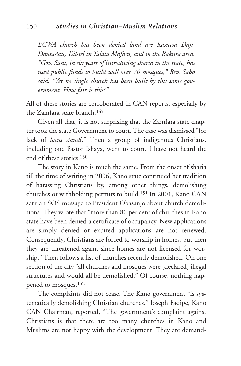*ECWA church has been denied land are Kasuwa Daji, Dansadau, Tsibiri in Talata Mafara, and in the Bakura area. "Gov. Sani, in six years of introducing sharia in the state, has used public funds to build well over 70 mosques," Rev. Sabo said. "Yet no single church has been built by this same government. How fair is this?"*

All of these stories are corroborated in CAN reports, especially by the Zamfara state branch.149

Given all that, it is not surprising that the Zamfara state chapter took the state Government to court. The case was dismissed "for lack of *locus standi*." Then a group of indigenous Christians, including one Pastor Ishaya, went to court. I have not heard the end of these stories.150

The story in Kano is much the same. From the onset of sharia till the time of writing in 2006, Kano state continued her tradition of harassing Christians by, among other things, demolishing churches or withholding permits to build.151 In 2001, Kano CAN sent an SOS message to President Obasanjo about church demolitions. They wrote that "more than 80 per cent of churches in Kano state have been denied a certificate of occupancy. New applications are simply denied or expired applications are not renewed. Consequently, Christians are forced to worship in homes, but then they are threatened again, since homes are not licensed for worship." Then follows a list of churches recently demolished. On one section of the city "all churches and mosques were [declared] illegal structures and would all be demolished." Of course, nothing happened to mosques.152

The complaints did not cease. The Kano government "is systematically demolishing Christian churches." Joseph Fadipe, Kano CAN Chairman, reported, "The government's complaint against Christians is that there are too many churches in Kano and Muslims are not happy with the development. They are demand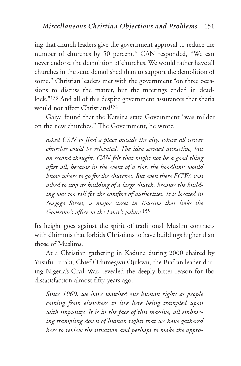ing that church leaders give the government approval to reduce the number of churches by 50 percent." CAN responded, "We can never endorse the demolition of churches. We would rather have all churches in the state demolished than to support the demolition of some." Christian leaders met with the government "on three occasions to discuss the matter, but the meetings ended in deadlock."153 And all of this despite government assurances that sharia would not affect Christians!154

Gaiya found that the Katsina state Government "was milder on the new churches." The Government, he wrote,

*asked CAN to find a place outside the city, where all newer churches could be relocated. The idea seemed attractive, but on second thought, CAN felt that might not be a good thing after all, because in the event of a riot, the hoodlums would know where to go for the churches. But even there ECWA was asked to stop its building of a large church, because the building was too tall for the comfort of authorities. It is located in Nagogo Street, a major street in Katsina that links the Governor's office to the Emir's palace.*<sup>155</sup>

Its height goes against the spirit of traditional Muslim contracts with dhimmis that forbids Christians to have buildings higher than those of Muslims.

At a Christian gathering in Kaduna during 2000 chaired by Yusufu Turaki, Chief Odumegwu Ojukwu, the Biafran leader during Nigeria's Civil War, revealed the deeply bitter reason for Ibo dissatisfaction almost fifty years ago.

*Since 1960, we have watched our human rights as people coming from elsewhere to live here being trampled upon with impunity. It is in the face of this massive, all embracing trampling down of human rights that we have gathered here to review the situation and perhaps to make the appro-*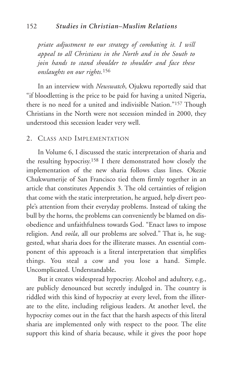*priate adjustment to our strategy of combating it. I will appeal to all Christians in the North and in the South to join hands to stand shoulder to shoulder and face these onslaughts on our rights.*<sup>156</sup>

In an interview with *Newswatch*, Ojukwu reportedly said that "if bloodletting is the price to be paid for having a united Nigeria, there is no need for a united and indivisible Nation."157 Though Christians in the North were not secession minded in 2000, they understood this secession leader very well.

#### 2. CLASS AND IMPLEMENTATION

In Volume 6, I discussed the static interpretation of sharia and the resulting hypocrisy.158 I there demonstrated how closely the implementation of the new sharia follows class lines. Okezie Chukwumerije of San Francisco tied them firmly together in an article that constitutes Appendix 3. The old certainties of religion that come with the static interpretation, he argued, help divert people's attention from their everyday problems. Instead of taking the bull by the horns, the problems can conveniently be blamed on disobedience and unfaithfulness towards God. "Enact laws to impose religion. And *voila*, all our problems are solved." That is, he suggested, what sharia does for the illiterate masses. An essential component of this approach is a literal interpretation that simplifies things. You steal a cow and you lose a hand. Simple. Uncomplicated. Understandable**.**

But it creates widespread hypocrisy. Alcohol and adultery, e.g., are publicly denounced but secretly indulged in. The country is riddled with this kind of hypocrisy at every level, from the illiterate to the elite, including religious leaders. At another level, the hypocrisy comes out in the fact that the harsh aspects of this literal sharia are implemented only with respect to the poor. The elite support this kind of sharia because, while it gives the poor hope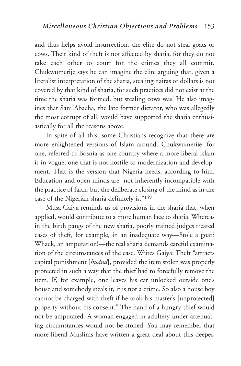and thus helps avoid insurrection, the elite do not steal goats or cows. Their kind of theft is not affected by sharia, for they do not take each other to court for the crimes they all commit. Chukwumerije says he can imagine the elite arguing that, given a literalist interpretation of the sharia, stealing nairas or dollars is not covered by that kind of sharia, for such practices did not exist at the time the sharia was formed, but stealing cows was! He also imagines that Sani Abacha, the late former dictator, who was allegedly the most corrupt of all, would have supported the sharia enthusiastically for all the reasons above.

In spite of all this, some Christians recognize that there are more enlightened versions of Islam around. Chukwumerije, for one, referred to Bosnia as one country where a more liberal Islam is in vogue, one that is not hostile to modernization and development. That is the version that Nigeria needs, according to him. Education and open minds are "not inherently incompatible with the practice of faith, but the deliberate closing of the mind as in the case of the Nigerian sharia definitely is."159

Musa Gaiya reminds us of provisions in the sharia that, when applied, would contribute to a more human face to sharia. Whereas in the birth pangs of the new sharia, poorly trained judges treated cases of theft, for example, in an inadequate way—Stole a goat? Whack, an amputation!—the real sharia demands careful examination of the circumstances of the case. Writes Gaiya: Theft "attracts capital punishment [*hudud*], provided the item stolen was properly protected in such a way that the thief had to forcefully remove the item. If, for example, one leaves his car unlocked outside one's house and somebody steals it, it is not a crime. So also a house boy cannot be charged with theft if he took his master's [unprotected] property without his consent." The hand of a hungry thief would not be amputated. A woman engaged in adultery under attenuating circumstances would not be stoned. You may remember that more liberal Muslims have written a great deal about this deeper,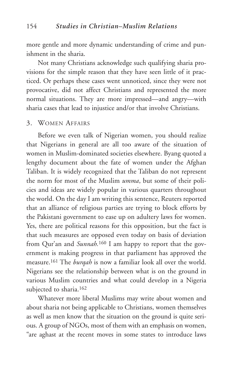more gentle and more dynamic understanding of crime and punishment in the sharia.

Not many Christians acknowledge such qualifying sharia provisions for the simple reason that they have seen little of it practiced. Or perhaps these cases went unnoticed, since they were not provocative, did not affect Christians and represented the more normal situations. They are more impressed—and angry—with sharia cases that lead to injustice and/or that involve Christians.

#### 3. WOMEN AFFAIRS

Before we even talk of Nigerian women, you should realize that Nigerians in general are all too aware of the situation of women in Muslim-dominated societies elsewhere. Byang quoted a lengthy document about the fate of women under the Afghan Taliban. It is widely recognized that the Taliban do not represent the norm for most of the Muslim *umma*, but some of their policies and ideas are widely popular in various quarters throughout the world. On the day I am writing this sentence, Reuters reported that an alliance of religious parties are trying to block efforts by the Pakistani government to ease up on adultery laws for women. Yes, there are political reasons for this opposition, but the fact is that such measures are opposed even today on basis of deviation from Qur'an and *Sunnah*.<sup>160</sup> I am happy to report that the government is making progress in that parliament has approved the measure.161 The *burqah* is now a familiar look all over the world. Nigerians see the relationship between what is on the ground in various Muslim countries and what could develop in a Nigeria subjected to sharia.<sup>162</sup>

Whatever more liberal Muslims may write about women and about sharia not being applicable to Christians, women themselves as well as men know that the situation on the ground is quite serious. A group of NGOs, most of them with an emphasis on women, "are aghast at the recent moves in some states to introduce laws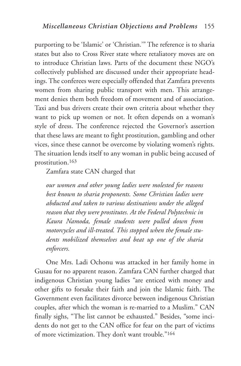purporting to be 'Islamic' or 'Christian.'" The reference is to sharia states but also to Cross River state where retaliatory moves are on to introduce Christian laws. Parts of the document these NGO's collectively published are discussed under their appropriate headings. The conferees were especially offended that Zamfara prevents women from sharing public transport with men. This arrangement denies them both freedom of movement and of association. Taxi and bus drivers create their own criteria about whether they want to pick up women or not. It often depends on a woman's style of dress. The conference rejected the Governor's assertion that these laws are meant to fight prostitution, gambling and other vices, since these cannot be overcome by violating women's rights. The situation lends itself to any woman in public being accused of prostitution.163

Zamfara state CAN charged that

*our women and other young ladies were molested for reasons best known to sharia proponents. Some Christian ladies were abducted and taken to various destinations under the alleged reason that they were prostitutes. At the Federal Polytechnic in Kaura Namoda, female students were pulled down from motorcycles and ill-treated. This stopped when the female students mobilized themselves and beat up one of the sharia enforcers.*

One Mrs. Ladi Ochonu was attacked in her family home in Gusau for no apparent reason. Zamfara CAN further charged that indigenous Christian young ladies "are enticed with money and other gifts to forsake their faith and join the Islamic faith. The Government even facilitates divorce between indigenous Christian couples, after which the woman is re-married to a Muslim." CAN finally sighs, "The list cannot be exhausted." Besides, "some incidents do not get to the CAN office for fear on the part of victims of more victimization. They don't want trouble."164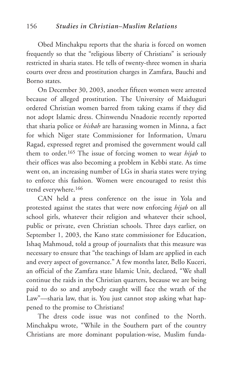Obed Minchakpu reports that the sharia is forced on women frequently so that the "religious liberty of Christians" is seriously restricted in sharia states. He tells of twenty-three women in sharia courts over dress and prostitution charges in Zamfara, Bauchi and Borno states.

On December 30, 2003, another fifteen women were arrested because of alleged prostitution. The University of Maiduguri ordered Christian women barred from taking exams if they did not adopt Islamic dress. Chinwendu Nnadozie recently reported that sharia police or *hisbah* are harassing women in Minna, a fact for which Niger state Commissioner for Information, Umaru Ragad, expressed regret and promised the government would call them to order.165 The issue of forcing women to wear *hijab* to their offices was also becoming a problem in Kebbi state. As time went on, an increasing number of LGs in sharia states were trying to enforce this fashion. Women were encouraged to resist this trend everywhere.166

CAN held a press conference on the issue in Yola and protested against the states that were now enforcing *hijab* on all school girls, whatever their religion and whatever their school, public or private, even Christian schools. Three days earlier, on September 1, 2003, the Kano state commissioner for Education, Ishaq Mahmoud, told a group of journalists that this measure was necessary to ensure that "the teachings of Islam are applied in each and every aspect of governance." A few months later, Bello Kuceri, an official of the Zamfara state Islamic Unit, declared, "We shall continue the raids in the Christian quarters, because we are being paid to do so and anybody caught will face the wrath of the Law"—sharia law, that is. You just cannot stop asking what happened to the promise to Christians!

The dress code issue was not confined to the North. Minchakpu wrote, "While in the Southern part of the country Christians are more dominant population-wise, Muslim funda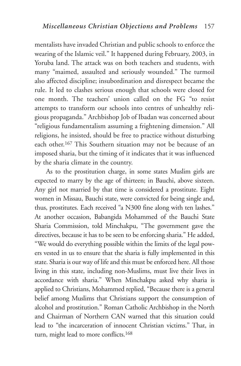mentalists have invaded Christian and public schools to enforce the wearing of the Islamic veil." It happened during February, 2003, in Yoruba land. The attack was on both teachers and students, with many "maimed, assaulted and seriously wounded." The turmoil also affected discipline; insubordination and disrespect became the rule. It led to clashes serious enough that schools were closed for one month. The teachers' union called on the FG "to resist attempts to transform our schools into centres of unhealthy religious propaganda." Archbishop Job of Ibadan was concerned about "religious fundamentalism assuming a frightening dimension." All religions, he insisted, should be free to practice without disturbing each other.167 This Southern situation may not be because of an imposed sharia, but the timing of it indicates that it was influenced by the sharia climate in the country.

As to the prostitution charge, in some states Muslim girls are expected to marry by the age of thirteen; in Bauchi, above sixteen. Any girl not married by that time is considered a prostitute. Eight women in Missau, Bauchi state, were convicted for being single and, thus, prostitutes. Each received "a N300 fine along with ten lashes." At another occasion, Babangida Mohammed of the Bauchi State Sharia Commission, told Minchakpu, "The government gave the directives, because it has to be seen to be enforcing sharia." He added, "We would do everything possible within the limits of the legal powers vested in us to ensure that the sharia is fully implemented in this state. Sharia is our way of life and this must be enforced here. All those living in this state, including non-Muslims, must live their lives in accordance with sharia." When Minchakpu asked why sharia is applied to Christians, Mohammed replied, "Because there is a general belief among Muslims that Christians support the consumption of alcohol and prostitution." Roman Catholic Archbishop in the North and Chairman of Northern CAN warned that this situation could lead to "the incarceration of innocent Christian victims." That, in turn, might lead to more conflicts.168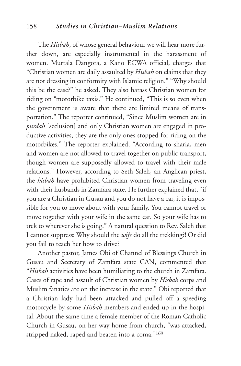#### 158 *Studies in Christian–Muslim Relations*

The *Hisbah*, of whose general behaviour we will hear more further down, are especially instrumental in the harassment of women. Murtala Dangora, a Kano ECWA official, charges that "Christian women are daily assaulted by *Hisbah* on claims that they are not dressing in conformity with Islamic religion." "Why should this be the case?" he asked. They also harass Christian women for riding on "motorbike taxis." He continued, "This is so even when the government is aware that there are limited means of transportation." The reporter continued, "Since Muslim women are in *purdah* [seclusion] and only Christian women are engaged in productive activities, they are the only ones stopped for riding on the motorbikes." The reporter explained, "According to sharia, men and women are not allowed to travel together on public transport, though women are supposedly allowed to travel with their male relations." However, according to Seth Saleh, an Anglican priest, the *hisbah* have prohibited Christian women from traveling even with their husbands in Zamfara state. He further explained that, "if you are a Christian in Gusau and you do not have a car, it is impossible for you to move about with your family. You cannot travel or move together with your wife in the same car. So your wife has to trek to wherever she is going." A natural question to Rev. Saleh that I cannot suppress: Why should the *wife* do all the trekking?! Or did you fail to teach her how to drive?

Another pastor, James Obi of Channel of Blessings Church in Gusau and Secretary of Zamfara state CAN, commented that "*Hisbah* activities have been humiliating to the church in Zamfara. Cases of rape and assault of Christian women by *Hisbah* corps and Muslim fanatics are on the increase in the state." Obi reported that a Christian lady had been attacked and pulled off a speeding motorcycle by some *Hisbah* members and ended up in the hospital. About the same time a female member of the Roman Catholic Church in Gusau, on her way home from church, "was attacked, stripped naked, raped and beaten into a coma."169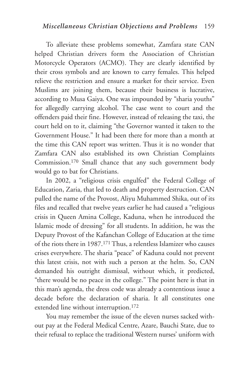To alleviate these problems somewhat, Zamfara state CAN helped Christian drivers form the Association of Christian Motorcycle Operators (ACMO). They are clearly identified by their cross symbols and are known to carry females. This helped relieve the restriction and ensure a market for their service. Even Muslims are joining them, because their business is lucrative, according to Musa Gaiya. One was impounded by "sharia youths" for allegedly carrying alcohol. The case went to court and the offenders paid their fine. However, instead of releasing the taxi, the court held on to it, claiming "the Governor wanted it taken to the Government House." It had been there for more than a month at the time this CAN report was written. Thus it is no wonder that Zamfara CAN also established its own Christian Complaints Commission.170 Small chance that any such government body would go to bat for Christians.

In 2002, a "religious crisis engulfed" the Federal College of Education, Zaria, that led to death and property destruction. CAN pulled the name of the Provost, Aliyu Muhammed Shika, out of its files and recalled that twelve years earlier he had caused a "religious crisis in Queen Amina College, Kaduna, when he introduced the Islamic mode of dressing" for all students. In addition, he was the Deputy Provost of the Kafanchan College of Education at the time of the riots there in 1987.171 Thus, a relentless Islamizer who causes crises everywhere. The sharia "peace" of Kaduna could not prevent this latest crisis, not with such a person at the helm. So, CAN demanded his outright dismissal, without which, it predicted, "there would be no peace in the college." The point here is that in this man's agenda, the dress code was already a contentious issue a decade before the declaration of sharia. It all constitutes one extended line without interruption.172

You may remember the issue of the eleven nurses sacked without pay at the Federal Medical Centre, Azare, Bauchi State, due to their refusal to replace the traditional Western nurses' uniform with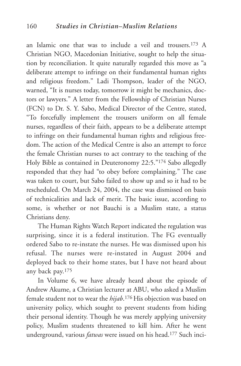an Islamic one that was to include a veil and trousers.173 A Christian NGO, Macedonian Initiative, sought to help the situation by reconciliation. It quite naturally regarded this move as "a deliberate attempt to infringe on their fundamental human rights and religious freedom." Ladi Thompson, leader of the NGO, warned, "It is nurses today, tomorrow it might be mechanics, doctors or lawyers." A letter from the Fellowship of Christian Nurses (FCN) to Dr. S. Y. Sabo, Medical Director of the Centre, stated, "To forcefully implement the trousers uniform on all female nurses, regardless of their faith, appears to be a deliberate attempt to infringe on their fundamental human rights and religious freedom. The action of the Medical Centre is also an attempt to force the female Christian nurses to act contrary to the teaching of the Holy Bible as contained in Deuteronomy 22:5."174 Sabo allegedly responded that they had "to obey before complaining." The case was taken to court, but Sabo failed to show up and so it had to be rescheduled. On March 24, 2004, the case was dismissed on basis of technicalities and lack of merit. The basic issue, according to some, is whether or not Bauchi is a Muslim state, a status Christians deny.

The Human Rights Watch Report indicated the regulation was surprising, since it is a federal institution. The FG eventually ordered Sabo to re-instate the nurses. He was dismissed upon his refusal. The nurses were re-instated in August 2004 and deployed back to their home states, but I have not heard about any back pay.175

In Volume 6, we have already heard about the episode of Andrew Akume, a Christian lecturer at ABU, who asked a Muslim female student not to wear the *hijab*.176 His objection was based on university policy, which sought to prevent students from hiding their personal identity. Though he was merely applying university policy, Muslim students threatened to kill him. After he went underground, various *fatwas* were issued on his head.177 Such inci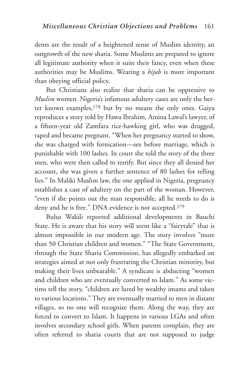dents are the result of a heightened sense of Muslim identity, an outgrowth of the new sharia. Some Muslims are prepared to ignore all legitimate authority when it suits their fancy, even when these authorities may be Muslims. Wearing a *hijab* is more important than obeying official policy.

But Christians also realize that sharia can be oppressive to *Muslim* women. Nigeria's infamous adultery cases are only the better known examples,178 but by no means the only ones. Gaiya reproduces a story told by Hawa Ibrahim, Amina Lawal's lawyer, of a fifteen-year old Zamfara rice-hawking girl, who was drugged, raped and became pregnant. "When her pregnancy started to show, she was charged with fornication—sex before marriage, which is punishable with 100 lashes. In court she told the story of the three men, who were then called to testify. But since they all denied her account, she was given a further sentence of 80 lashes for telling lies." In Maliki Muslim law, the one applied in Nigeria, pregnancy establishes a case of adultery on the part of the woman. However, "even if she points out the man responsible, all he needs to do is deny and he is free." DNA evidence is not accepted.<sup>179</sup>

Bulus Wakili reported additional developments in Bauchi State. He is aware that his story will seem like a "fairytale" that is almost impossible in our modern age. The story involves "more than 50 Christian children and women." "The State Government, through the State Sharia Commission, has allegedly embarked on strategies aimed at not only frustrating the Christian minority, but making their lives unbearable." A syndicate is abducting "women and children who are eventually converted to Islam." As some victims tell the story, "children are lured by wealthy imams and taken to various locations." They are eventually married to men in distant villages, so no one will recognize them. Along the way, they are forced to convert to Islam. It happens in various LGAs and often involves secondary school girls. When parents complain, they are often referred to sharia courts that are not supposed to judge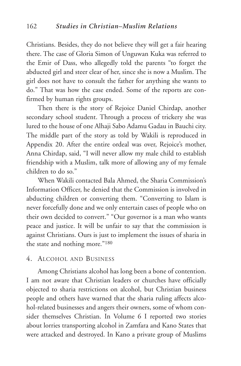Christians. Besides, they do not believe they will get a fair hearing there. The case of Gloria Simon of Unguwan Kuka was referred to the Emir of Dass, who allegedly told the parents "to forget the abducted girl and steer clear of her, since she is now a Muslim. The girl does not have to consult the father for anything she wants to do." That was how the case ended. Some of the reports are confirmed by human rights groups.

Then there is the story of Rejoice Daniel Chirdap, another secondary school student. Through a process of trickery she was lured to the house of one Alhaji Sabo Adamu Gadau in Bauchi city. The middle part of the story as told by Wakili is reproduced in Appendix 20. After the entire ordeal was over, Rejoice's mother, Anna Chirdap, said, "I will never allow my male child to establish friendship with a Muslim, talk more of allowing any of my female children to do so."

When Wakili contacted Bala Ahmed, the Sharia Commission's Information Officer, he denied that the Commission is involved in abducting children or converting them. "Converting to Islam is never forcefully done and we only entertain cases of people who on their own decided to convert." "Our governor is a man who wants peace and justice. It will be unfair to say that the commission is against Christians. Ours is just to implement the issues of sharia in the state and nothing more."180

## 4. ALCOHOL AND BUSINESS

Among Christians alcohol has long been a bone of contention. I am not aware that Christian leaders or churches have officially objected to sharia restrictions on alcohol, but Christian business people and others have warned that the sharia ruling affects alcohol-related businesses and angers their owners, some of whom consider themselves Christian. In Volume 6 I reported two stories about lorries transporting alcohol in Zamfara and Kano States that were attacked and destroyed. In Kano a private group of Muslims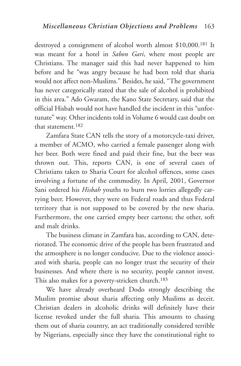destroyed a consignment of alcohol worth almost \$10,000.181 It was meant for a hotel in *Sabon Gari*, where most people are Christians. The manager said this had never happened to him before and he "was angry because he had been told that sharia would not affect non-Muslims." Besides, he said, "The government has never categorically stated that the sale of alcohol is prohibited in this area." Ado Gwaram, the Kano State Secretary, said that the official Hisbah would not have handled the incident in this "unfortunate" way. Other incidents told in Volume 6 would cast doubt on that statement.182

Zamfara State CAN tells the story of a motorcycle-taxi driver, a member of ACMO, who carried a female passenger along with her beer. Both were fined and paid their fine, but the beer was thrown out. This, reports CAN, is one of several cases of Christians taken to Sharia Court for alcohol offences, some cases involving a fortune of the commodity. In April, 2001, Governor Sani ordered his *Hisbah* youths to burn two lorries allegedly carrying beer. However, they were on Federal roads and thus Federal territory that is not supposed to be covered by the new sharia. Furthermore, the one carried empty beer cartons; the other, soft and malt drinks.

The business climate in Zamfara has, according to CAN, deteriorated. The economic drive of the people has been frustrated and the atmosphere is no longer conducive. Due to the violence associated with sharia, people can no longer trust the security of their businesses. And where there is no security, people cannot invest. This also makes for a poverty-stricken church.183

We have already overheard Dodo strongly describing the Muslim promise about sharia affecting only Muslims as deceit. Christian dealers in alcoholic drinks will definitely have their license revoked under the full sharia. This amounts to chasing them out of sharia country, an act traditionally considered terrible by Nigerians, especially since they have the constitutional right to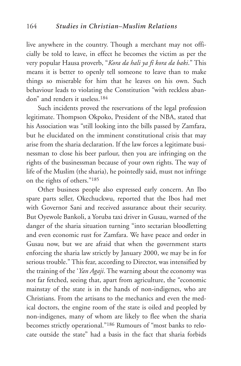live anywhere in the country. Though a merchant may not officially be told to leave, in effect he becomes the victim as per the very popular Hausa proverb, "*Kora da hali ya fi kora da baki*." This means it is better to openly tell someone to leave than to make things so miserable for him that he leaves on his own. Such behaviour leads to violating the Constitution "with reckless abandon" and renders it useless 184

Such incidents proved the reservations of the legal profession legitimate. Thompson Okpoko, President of the NBA, stated that his Association was "still looking into the bills passed by Zamfara, but he elucidated on the imminent constitutional crisis that may arise from the sharia declaration. If the law forces a legitimate businessman to close his beer parlour, then you are infringing on the rights of the businessman because of your own rights. The way of life of the Muslim (the sharia), he pointedly said, must not infringe on the rights of others."185

Other business people also expressed early concern. An Ibo spare parts seller, Okechuckwu, reported that the Ibos had met with Governor Sani and received assurance about their security. But Oyewole Bankoli, a Yoruba taxi driver in Gusau, warned of the danger of the sharia situation turning "into sectarian bloodletting and even economic rust for Zamfara. We have peace and order in Gusau now, but we are afraid that when the government starts enforcing the sharia law strictly by January 2000, we may be in for serious trouble." This fear, according to Director, was intensified by the training of the '*Yan Agaji*. The warning about the economy was not far fetched, seeing that, apart from agriculture, the "economic mainstay of the state is in the hands of non-indigenes, who are Christians. From the artisans to the mechanics and even the medical doctors, the engine room of the state is oiled and peopled by non-indigenes, many of whom are likely to flee when the sharia becomes strictly operational."186 Rumours of "most banks to relocate outside the state" had a basis in the fact that sharia forbids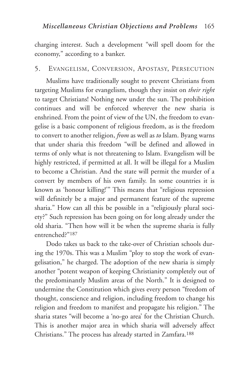charging interest. Such a development "will spell doom for the economy," according to a banker.

### 5. EVANGELISM, CONVERSION, APOSTASY, PERSECUTION

Muslims have traditionally sought to prevent Christians from targeting Muslims for evangelism, though they insist on *their right* to target Christians! Nothing new under the sun. The prohibition continues and will be enforced wherever the new sharia is enshrined. From the point of view of the UN, the freedom to evangelise is a basic component of religious freedom, as is the freedom to convert to another religion, *from* as well as *to* Islam. Byang warns that under sharia this freedom "will be defined and allowed in terms of only what is not threatening to Islam. Evangelism will be highly restricted, if permitted at all. It will be illegal for a Muslim to become a Christian. And the state will permit the murder of a convert by members of his own family. In some countries it is known as 'honour killing!'" This means that "religious repression will definitely be a major and permanent feature of the supreme sharia." How can all this be possible in a "religiously plural society?" Such repression has been going on for long already under the old sharia. "Then how will it be when the supreme sharia is fully entrenched?"187

Dodo takes us back to the take-over of Christian schools during the 1970s. This was a Muslim "ploy to stop the work of evangelisation," he charged. The adoption of the new sharia is simply another "potent weapon of keeping Christianity completely out of the predominantly Muslim areas of the North." It is designed to undermine the Constitution which gives every person "freedom of thought, conscience and religion, including freedom to change his religion and freedom to manifest and propagate his religion." The sharia states "will become a 'no-go area' for the Christian Church. This is another major area in which sharia will adversely affect Christians." The process has already started in Zamfara.188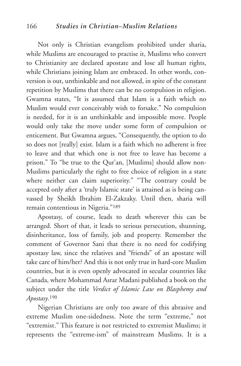#### 166 *Studies in Christian–Muslim Relations*

Not only is Christian evangelism prohibited under sharia, while Muslims are encouraged to practise it, Muslims who convert to Christianity are declared apostate and lose all human rights, while Christians joining Islam are embraced. In other words, conversion is out, unthinkable and not allowed, in spite of the constant repetition by Muslims that there can be no compulsion in religion. Gwamna states, "It is assumed that Islam is a faith which no Muslim would ever conceivably wish to forsake." No compulsion is needed, for it is an unthinkable and impossible move. People would only take the move under some form of compulsion or enticement. But Gwamna argues, "Consequently, the option to do so does not [really] exist. Islam is a faith which no adherent is free to leave and that which one is not free to leave has become a prison." To "be true to the Qur'an, [Muslims] should allow non-Muslims particularly the right to free choice of religion in a state where neither can claim superiority." "The contrary could be accepted only after a 'truly Islamic state' is attained as is being canvassed by Sheikh Ibrahim El-Zakzaky. Until then, sharia will remain contentious in Nigeria."189

Apostasy, of course, leads to death wherever this can be arranged. Short of that, it leads to serious persecution, shunning, disinheritance, loss of family, job and property. Remember the comment of Governor Sani that there is no need for codifying apostasy law, since the relatives and "friends" of an apostate will take care of him/her? And this is not only true in hard-core Muslim countries, but it is even openly advocated in secular countries like Canada, where Mohammad Asrar Madani published a book on the subject under the title *Verdict of Islamic Law on Blasphemy and Apostasy*.190

Nigerian Christians are only too aware of this abrasive and extreme Muslim one-sidedness. Note the term "extreme," not "extremist." This feature is not restricted to extremist Muslims; it represents the "extreme-ism" of mainstream Muslims. It is a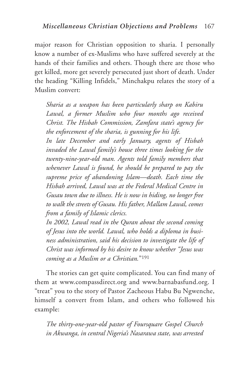major reason for Christian opposition to sharia. I personally know a number of ex-Muslims who have suffered severely at the hands of their families and others. Though there are those who get killed, more get severely persecuted just short of death. Under the heading "Killing Infidels," Minchakpu relates the story of a Muslim convert:

*Sharia as a weapon has been particularly sharp on Kabiru Lawal, a former Muslim who four months ago received Christ. The Hisbah Commission, Zamfara state's agency for the enforcement of the sharia, is gunning for his life.*

*In late December and early January, agents of Hisbah invaded the Lawal family's house three times looking for the twenty-nine-year-old man. Agents told family members that whenever Lawal is found, he should be prepared to pay the supreme price of abandoning Islam—death. Each time the Hisbah arrived, Lawal was at the Federal Medical Centre in Gusau town due to illness. He is now in hiding, no longer free to walk the streets of Gusau. His father, Mallam Lawal, comes from a family of Islamic clerics.*

*In 2002, Lawal read in the Quran about the second coming of Jesus into the world. Lawal, who holds a diploma in business administration, said his decision to investigate the life of Christ was informed by his desire to know whether "Jesus was coming as a Muslim or a Christian.*"191

The stories can get quite complicated. You can find many of them at www.compassdirect.org and www.barnabasfund.org. I "treat" you to the story of Pastor Zacheous Habu Bu Ngwenche, himself a convert from Islam, and others who followed his example:

*The thirty-one-year-old pastor of Foursquare Gospel Church in Akwanga, in central Nigeria's Nasarawa state, was arrested*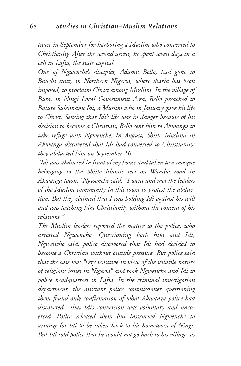*twice in September for harboring a Muslim who converted to Christianity. After the second arrest, he spent seven days in a cell in Lafia, the state capital.*

*One of Ngwenche's disciples, Adamu Bello, had gone to Bauchi state, in Northern Nigeria, where sharia has been imposed, to proclaim Christ among Muslims. In the village of Bura, in Ningi Local Government Area, Bello preached to Bature Suleimanu Idi, a Muslim who in January gave his life to Christ. Sensing that Idi's life was in danger because of his decision to become a Christian, Bello sent him to Akwanga to take refuge with Ngwenche. In August, Shiite Muslims in Akwanga discovered that Idi had converted to Christianity; they abducted him on September 10.*

*"Idi was abducted in front of my house and taken to a mosque belonging to the Shiite Islamic sect on Wamba road in Akwanga town," Ngwenche said. "I went and met the leaders of the Muslim community in this town to protest the abduction. But they claimed that I was holding Idi against his will and was teaching him Christianity without the consent of his relations."*

*The Muslim leaders reported the matter to the police, who arrested Ngwenche. Questioning both him and Idi, Ngwenche said, police discovered that Idi had decided to become a Christian without outside pressure. But police said that the case was "very sensitive in view of the volatile nature of religious issues in Nigeria" and took Ngwenche and Idi to police headquarters in Lafia. In the criminal investigation department, the assistant police commissioner questioning them found only confirmation of what Akwanga police had discovered—that Idi's conversion was voluntary and uncoerced. Police released them but instructed Ngwenche to arrange for Idi to be taken back to his hometown of Ningi. But Idi told police that he would not go back to his village, as*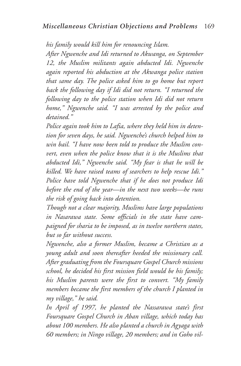*his family would kill him for renouncing Islam.*

*After Ngwenche and Idi returned to Akwanga, on September 12, the Muslim militants again abducted Idi. Ngwenche again reported his abduction at the Akwanga police station that same day. The police asked him to go home but report back the following day if Idi did not return. "I returned the following day to the police station when Idi did not return home," Ngwenche said. "I was arrested by the police and detained."*

*Police again took him to Lafia, where they held him in detention for seven days, he said. Ngwenche's church helped him to win bail. "I have now been told to produce the Muslim convert, even when the police know that it is the Muslims that abducted Idi," Ngwenche said. "My fear is that he will be killed. We have raised teams of searchers to help rescue Idi." Police have told Ngwenche that if he does not produce Idi before the end of the year—in the next two weeks—he runs the risk of going back into detention.*

*Though not a clear majority, Muslims have large populations in Nasarawa state. Some officials in the state have campaigned for sharia to be imposed, as in twelve northern states, but so far without success.*

*Ngwenche, also a former Muslim, became a Christian as a young adult and soon thereafter heeded the missionary call. After graduating from the Foursquare Gospel Church missions school, he decided his first mission field would be his family; his Muslim parents were the first to convert. "My family members became the first members of the church I planted in my village," he said.*

*In April of 1997, he planted the Nassarawa state's first Foursquare Gospel Church in Aban village, which today has about 100 members. He also planted a church in Agyaga with 60 members; in Ningo village, 20 members; and in Goho vil-*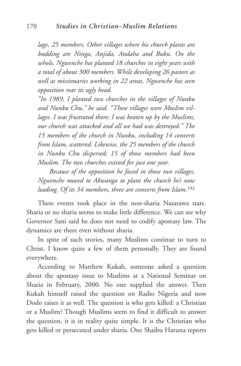*lage, 25 members. Other villages where his church plants are budding are Ninga, Anjida, Andaha and Buku. On the whole, Ngwenche has planted 18 churches in eight years with a total of about 300 members. While developing 26 pastors as well as missionaries working in 22 areas, Ngwenche has seen opposition rear its ugly head.*

*"In 1989, I planted two churches in the villages of Nunku and Nunku Chu," he said. "These villages were Muslim villages. I was frustrated there; I was beaten up by the Muslims, our church was attacked and all we had was destroyed." The 15 members of the church in Nunku, including 14 converts from Islam, scattered. Likewise, the 25 members of the church in Nunku Chu dispersed; 15 of those members had been Muslim. The two churches existed for just one year.*

*Because of the opposition he faced in those two villages, Ngwenche moved to Akwanga to plant the church he's now leading. Of its 34 members, three are converts from Islam*.192

These events took place in the non-sharia Nasarawa state. Sharia or no sharia seems to make little difference. We can see why Governor Sani said he does not need to codify apostasy law. The dynamics are there even without sharia.

In spite of such stories, many Muslims continue to turn to Christ. I know quite a few of them personally. They are found everywhere.

According to Matthew Kukah, someone asked a question about the apostasy issue to Muslims at a National Seminar on Sharia in February, 2000. No one supplied the answer. Then Kukah himself raised the question on Radio Nigeria and now Dodo raises it as well. The question is who gets killed: a Christian or a Muslim? Though Muslims seem to find it difficult to answer the question, it is in reality quite simple. It is the Christian who gets killed or persecuted under sharia. One Shaibu Haruna reports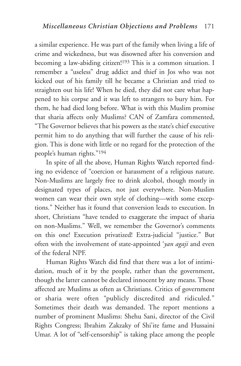a similar experience. He was part of the family when living a life of crime and wickedness, but was disowned after his conversion and becoming a law-abiding citizen!<sup>193</sup> This is a common situation. I remember a "useless" drug addict and thief in Jos who was not kicked out of his family till he became a Christian and tried to straighten out his life! When he died, they did not care what happened to his corpse and it was left to strangers to bury him. For them, he had died long before. What is with this Muslim promise that sharia affects only Muslims? CAN of Zamfara commented, "The Governor believes that his powers as the state's chief executive permit him to do anything that will further the cause of his religion. This is done with little or no regard for the protection of the people's human rights."194

In spite of all the above, Human Rights Watch reported finding no evidence of "coercion or harassment of a religious nature. Non-Muslims are largely free to drink alcohol, though mostly in designated types of places, not just everywhere. Non-Muslim women can wear their own style of clothing—with some exceptions." Neither has it found that conversion leads to execution. In short, Christians "have tended to exaggerate the impact of sharia on non-Muslims." Well, we remember the Governor's comments on this one! Execution privatized! Extra-judicial "justice." But often with the involvement of state-appointed '*yan agaji* and even of the federal NPF.

Human Rights Watch did find that there was a lot of intimidation, much of it by the people, rather than the government, though the latter cannot be declared innocent by any means. Those affected are Muslims as often as Christians. Critics of government or sharia were often "publicly discredited and ridiculed." Sometimes their death was demanded. The report mentions a number of prominent Muslims: Shehu Sani, director of the Civil Rights Congress; Ibrahim Zakzaky of Shi'ite fame and Hussaini Umar. A lot of "self-censorship" is taking place among the people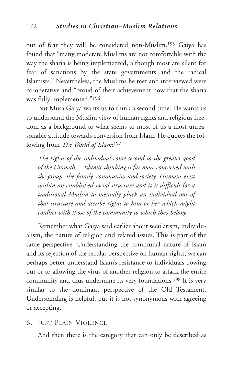out of fear they will be considered non-Muslim.195 Gaiya has found that "many moderate Muslims are not comfortable with the way the sharia is being implemented, although most are silent for fear of sanctions by the state governments and the radical Islamists." Nevertheless, the Muslims he met and interviewed were co-operative and "proud of their achievement now that the sharia was fully implemented."196

But Musa Gaiya wants us to think a second time. He wants us to understand the Muslim view of human rights and religious freedom as a background to what seems to most of us a most unreasonable attitude towards conversion from Islam. He quotes the following from *The World of Islam*:197

*The rights of the individual come second to the greater good of the Ummah.…Islamic thinking is far more concerned with the group, the family, community and society. Humans exist within an established social structure and it is difficult for a traditional Muslim to mentally pluck an individual out of that structure and ascribe rights to him or her which might conflict with those of the community to which they belong.*

Remember what Gaiya said earlier about secularism, individualism, the nature of religion and related issues. This is part of the same perspective. Understanding the communal nature of Islam and its rejection of the secular perspective on human rights, we can perhaps better understand Islam's resistance to individuals bowing out or to allowing the virus of another religion to attack the entire community and thus undermine its very foundations.198 It is very similar to the dominant perspective of the Old Testament. Understanding is helpful, but it is not synonymous with agreeing or accepting.

6. JUST PLAIN VIOLENCE

And then there is the category that can only be described as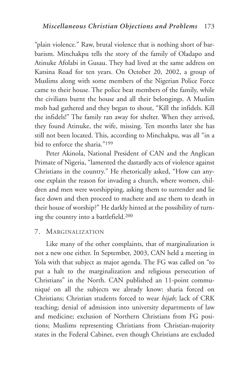"plain violence." Raw, brutal violence that is nothing short of barbarism. Minchakpu tells the story of the family of Oladapo and Atinuke Afolabi in Gusau. They had lived at the same address on Katsina Road for ten years. On October 20, 2002, a group of Muslims along with some members of the Nigerian Police Force came to their house. The police beat members of the family, while the civilians burnt the house and all their belongings. A Muslim mob had gathered and they began to shout, "Kill the infidels. Kill the infidels!" The family ran away for shelter. When they arrived, they found Atinuke, the wife, missing. Ten months later she has still not been located. This, according to Minchakpu, was all "in a bid to enforce the sharia."199

Peter Akinola, National President of CAN and the Anglican Primate of Nigeria, "lamented the dastardly acts of violence against Christians in the country." He rhetorically asked, "How can anyone explain the reason for invading a church, where women, children and men were worshipping, asking them to surrender and lie face down and then proceed to machete and axe them to death in their house of worship?" He darkly hinted at the possibility of turning the country into a battlefield.200

#### 7. MARGINALIZATION

Like many of the other complaints, that of marginalization is not a new one either. In September, 2003, CAN held a meeting in Yola with that subject as major agenda. The FG was called on "to put a halt to the marginalization and religious persecution of Christians" in the North. CAN published an 11-point communiqué on all the subjects we already know: sharia forced on Christians; Christian students forced to wear *hijab*; lack of CRK teaching; denial of admission into university departments of law and medicine; exclusion of Northern Christians from FG positions; Muslims representing Christians from Christian-majority states in the Federal Cabinet, even though Christians are excluded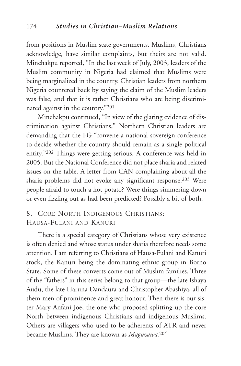from positions in Muslim state governments. Muslims, Christians acknowledge, have similar complaints, but theirs are not valid. Minchakpu reported, "In the last week of July, 2003, leaders of the Muslim community in Nigeria had claimed that Muslims were being marginalized in the country. Christian leaders from northern Nigeria countered back by saying the claim of the Muslim leaders was false, and that it is rather Christians who are being discriminated against in the country."201

Minchakpu continued, "In view of the glaring evidence of discrimination against Christians," Northern Christian leaders are demanding that the FG "convene a national sovereign conference to decide whether the country should remain as a single political entity."202 Things were getting serious. A conference was held in 2005. But the National Conference did not place sharia and related issues on the table. A letter from CAN complaining about all the sharia problems did not evoke any significant response.203 Were people afraid to touch a hot potato? Were things simmering down or even fizzling out as had been predicted? Possibly a bit of both.

## 8. CORE NORTH INDIGENOUS CHRISTIANS: HAUSA-FULANI AND KANURI

There is a special category of Christians whose very existence is often denied and whose status under sharia therefore needs some attention. I am referring to Christians of Hausa-Fulani and Kanuri stock, the Kanuri being the dominating ethnic group in Borno State. Some of these converts come out of Muslim families. Three of the "fathers" in this series belong to that group—the late Ishaya Audu, the late Haruna Dandaura and Christopher Abashiya, all of them men of prominence and great honour. Then there is our sister Mary Anfani Joe, the one who proposed splitting up the core North between indigenous Christians and indigenous Muslims. Others are villagers who used to be adherents of ATR and never became Muslims. They are known as *Maguzawa.*<sup>204</sup>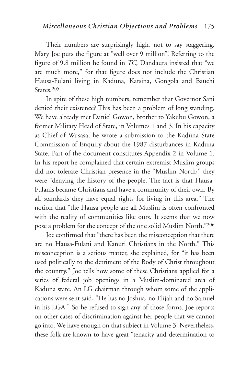Their numbers are surprisingly high, not to say staggering. Mary Joe puts the figure at "well over 9 million"! Referring to the figure of 9.8 million he found in *TC*, Dandaura insisted that "we are much more," for that figure does not include the Christian Hausa-Fulani living in Kaduna, Katsina, Gongola and Bauchi States. 205

In spite of these high numbers, remember that Governor Sani denied their existence? This has been a problem of long standing. We have already met Daniel Gowon, brother to Yakubu Gowon, a former Military Head of State, in Volumes 1 and 3. In his capacity as Chief of Wusasa, he wrote a submission to the Kaduna State Commission of Enquiry about the 1987 disturbances in Kaduna State. Part of the document constitutes Appendix 2 in Volume 1. In his report he complained that certain extremist Muslim groups did not tolerate Christian presence in the "Muslim North;" they were "denying the history of the people. The fact is that Hausa-Fulanis became Christians and have a community of their own. By all standards they have equal rights for living in this area." The notion that "the Hausa people are all Muslim is often confronted with the reality of communities like ours. It seems that we now pose a problem for the concept of the one solid Muslim North."206

Joe confirmed that "there has been the misconception that there are no Hausa-Fulani and Kanuri Christians in the North." This misconception is a serious matter, she explained, for "it has been used politically to the detriment of the Body of Christ throughout the country." Joe tells how some of these Christians applied for a series of federal job openings in a Muslim-dominated area of Kaduna state. An LG chairman through whom some of the applications were sent said, "He has no Joshua, no Elijah and no Samuel in his LGA." So he refused to sign any of those forms. Joe reports on other cases of discrimination against her people that we cannot go into. We have enough on that subject in Volume 3. Nevertheless, these folk are known to have great "tenacity and determination to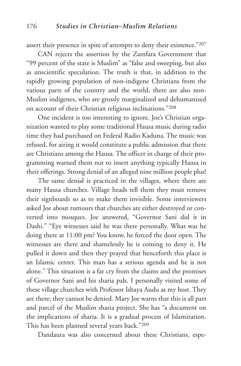assert their presence in spite of attempts to deny their existence."207

CAN rejects the assertion by the Zamfara Government that "99 percent of the state is Muslim" as "false and sweeping, but also as unscientific speculation. The truth is that, in addition to the rapidly growing population of non-indigene Christians from the various parts of the country and the world, there are also non-Muslim indigenes, who are grossly marginalized and dehumanized on account of their Christian religious inclinations."208

One incident is too interesting to ignore. Joe's Christian organization wanted to play some traditional Hausa music during radio time they had purchased on Federal Radio Kaduna. The music was refused, for airing it would constitute a public admission that there are Christians among the Hausa. The officer in charge of their programming warned them not to insert anything typically Hausa in their offerings. Strong denial of an alleged nine million people plus!

The same denial is practiced in the villages, where there are many Hausa churches. Village heads tell them they must remove their signboards so as to make them invisible. Some interviewers asked Joe about rumours that churches are either destroyed or converted into mosques. Joe answered, "Governor Sani did it in Dashi." "Eye witnesses said he was there personally. What was he doing there at 11:00 pm? You know, he forced the door open. The witnesses are there and shamelessly he is coming to deny it. He pulled it down and then they prayed that henceforth this place is an Islamic center. This man has a serious agenda and he is not alone." This situation is a far cry from the claims and the promises of Governor Sani and his sharia pals. I personally visited some of these village churches with Professor Ishaya Audu as my host. They are there; they cannot be denied. Mary Joe warns that this is all part and parcel of the Muslim sharia project. She has "a document on the implications of sharia. It is a gradual process of Islamization. This has been planned several years back."209

Dandaura was also concerned about these Christians, espe-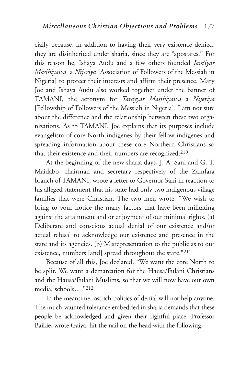cially because, in addition to having their very existence denied, they are disinherited under sharia, since they are "apostates." For this reason he, Ishaya Audu and a few others founded *Jam'iyar Masihiyawa* a *Nijeriya* [Association of Followers of the Messiah in Nigeria] to protect their interests and affirm their presence. Mary Joe and Ishaya Audu also worked together under the banner of TAMANI, the acronym for *Tarayyar Masihiyawa* a *Nijeriya* [Fellowship of Followers of the Messiah in Nigeria]. I am not sure about the difference and the relationship between these two organizations. As to TAMANI, Joe explains that its purposes include evangelism of core North indigenes by their fellow indigenes and spreading information about these core Northern Christians so that their existence and their numbers are recognized.210

At the beginning of the new sharia days, J. A. Sani and G. T. Maidabo, chairman and secretary respectively of the Zamfara branch of TAMANI, wrote a letter to Governor Sani in reaction to his alleged statement that his state had only two indigenous village families that were Christian. The two men wrote: "We wish to bring to your notice the many factors that have been militating against the attainment and or enjoyment of our minimal rights. (a) Deliberate and conscious actual denial of our existence and/or actual refusal to acknowledge our existence and presence in the state and its agencies. (b) Misrepresentation to the public as to our existence, numbers [and] spread throughout the state."211

Because of all this, Joe declared, "We want the core North to be split. We want a demarcation for the Hausa/Fulani Christians and the Hausa/Fulani Muslims, so that we will now have our own media, schools…."212

In the meantime, ostrich politics of denial will not help anyone. The much-vaunted tolerance embedded in sharia demands that these people be acknowledged and given their rightful place. Professor Baikie, wrote Gaiya, hit the nail on the head with the following: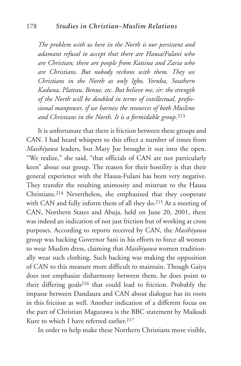*The problem with us here in the North is our persistent and adamant refusal to accept that there are Hausa/Fulani who are Christian; there are people from Katsina and Zaria who are Christians. But nobody reckons with them. They see Christians in the North as only Igbo, Yoruba, Southern Kaduna, Plateau, Benue, etc. But believe me, sir: the strength of the North will be doubled in terms of intellectual, professional manpower, if we harness the resources of both Muslims and Christians in the North. It is a formidable group.*<sup>213</sup>

It is unfortunate that there is friction between these groups and CAN. I had heard whispers to this effect a number of times from *Masihiyawa* leaders, but Mary Joe brought it out into the open. "We realize," she said, "that officials of CAN are not particularly keen" about our group. The reason for their hostility is that their general experience with the Hausa-Fulani has been very negative. They transfer the resulting animosity and mistrust to the Hausa Christians.214 Nevertheless, she emphasized that they cooperate with CAN and fully inform them of all they do.215 At a meeting of CAN, Northern States and Abuja, held on June 20, 2001, there was indeed an indication of not just friction but of working at cross purposes. According to reports received by CAN, the *Masihiyawa* group was backing Governor Sani in his efforts to force all women to wear Muslim dress, claiming that *Masihiyawa* women traditionally wear such clothing. Such backing was making the opposition of CAN to this measure more difficult to maintain. Though Gaiya does not emphasize disharmony between them, he does point to their differing goals216 that could lead to friction. Probably the impasse between Dandaura and CAN about dialogue has its roots in this friction as well. Another indication of a different focus on the part of Christian Maguzawa is the BBC statement by Maikudi Kure to which I have referred earlier.<sup>217</sup>

In order to help make these Northern Christians more visible,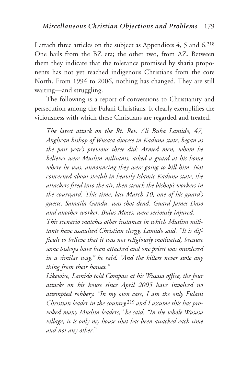I attach three articles on the subject as Appendices 4, 5 and 6.218 One hails from the BZ era; the other two, from AZ. Between them they indicate that the tolerance promised by sharia proponents has not yet reached indigenous Christians from the core North. From 1994 to 2006, nothing has changed. They are still waiting—and struggling.

The following is a report of conversions to Christianity and persecution among the Fulani Christians. It clearly exemplifies the viciousness with which these Christians are regarded and treated**.**

*The latest attack on the Rt. Rev. Ali Buba Lamido, 47, Anglican bishop of Wusasa diocese in Kaduna state, began as the past year's previous three did: Armed men, whom he believes were Muslim militants, asked a guard at his home where he was, announcing they were going to kill him. Not concerned about stealth in heavily Islamic Kaduna state, the attackers fired into the air, then struck the bishop's workers in the courtyard. This time, last March 10, one of his guard's guests, Samaila Gandu, was shot dead. Guard James Daso and another worker, Bulus Moses, were seriously injured.*

*This scenario matches other instances in which Muslim militants have assaulted Christian clergy, Lamido said. "It is difficult to believe that it was not religiously motivated, because some bishops have been attacked and one priest was murdered in a similar way," he said. "And the killers never stole any thing from their houses."*

*Likewise, Lamido told Compass at his Wusasa office, the four attacks on his house since April 2005 have involved no attempted robbery. "In my own case, I am the only Fulani Christian leader in the country,*219 *and I assume this has provoked many Muslim leaders," he said. "In the whole Wusasa village, it is only my house that has been attacked each time and not any other*."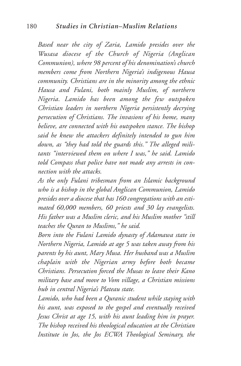*Based near the city of Zaria, Lamido presides over the Wusasa diocese of the Church of Nigeria (Anglican Communion), where 98 percent of his denomination's church members come from Northern Nigeria's indigenous Hausa community. Christians are in the minority among the ethnic Hausa and Fulani, both mainly Muslim, of northern Nigeria. Lamido has been among the few outspoken Christian leaders in northern Nigeria persistently decrying persecution of Christians. The invasions of his home, many believe, are connected with his outspoken stance. The bishop said he knew the attackers definitely intended to gun him down, as "they had told the guards this." The alleged militants "interviewed them on where I was," he said. Lamido told Compass that police have not made any arrests in connection with the attacks.*

*As the only Fulani tribesman from an Islamic background who is a bishop in the global Anglican Communion, Lamido presides over a diocese that has 160 congregations with an estimated 60,000 members, 60 priests and 30 lay evangelists. His father was a Muslim cleric, and his Muslim mother "still teaches the Quran to Muslims," he said.*

*Born into the Fulani Lamido dynasty of Adamawa state in Northern Nigeria, Lamido at age 5 was taken away from his parents by his aunt, Mary Musa. Her husband was a Muslim chaplain with the Nigerian army before both became Christians. Persecution forced the Musas to leave their Kano military base and move to Vom village, a Christian missions hub in central Nigeria's Plateau state.*

*Lamido, who had been a Quranic student while staying with his aunt, was exposed to the gospel and eventually received Jesus Christ at age 15, with his aunt leading him in prayer. The bishop received his theological education at the Christian Institute in Jos, the Jos ECWA Theological Seminary, the*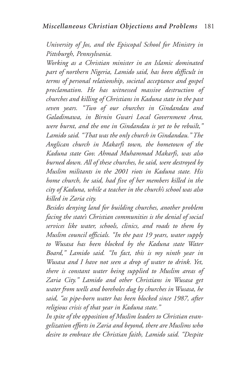*University of Jos, and the Episcopal School for Ministry in Pittsburgh, Pennsylvania.*

*Working as a Christian minister in an Islamic dominated part of northern Nigeria, Lamido said, has been difficult in terms of personal relationship, societal acceptance and gospel proclamation. He has witnessed massive destruction of churches and killing of Christians in Kaduna state in the past seven years. "Two of our churches in Gindandau and Galadimawa, in Birnin Gwari Local Government Area, were burnt, and the one in Gindandau is yet to be rebuilt," Lamido said. "That was the only church in Gindandau." The Anglican church in Makarfi town, the hometown of the Kaduna state Gov. Ahmad Muhammad Makarfi, was also burned down. All of these churches, he said, were destroyed by Muslim militants in the 2001 riots in Kaduna state. His home church, he said, had five of her members killed in the city of Kaduna, while a teacher in the church's school was also killed in Zaria city.*

*Besides denying land for building churches, another problem facing the state's Christian communities is the denial of social services like water, schools, clinics, and roads to them by Muslim council officials. "In the past 19 years, water supply to Wusasa has been blocked by the Kaduna state Water Board," Lamido said. "In fact, this is my ninth year in Wusasa and I have not seen a drop of water to drink. Yet, there is constant water being supplied to Muslim areas of Zaria City." Lamido and other Christians in Wusasa get water from wells and boreholes dug by churches in Wusasa, he said, "as pipe-born water has been blocked since 1987, after religious crisis of that year in Kaduna state."*

*In spite of the opposition of Muslim leaders to Christian evangelization efforts in Zaria and beyond, there are Muslims who desire to embrace the Christian faith, Lamido said. "Despite*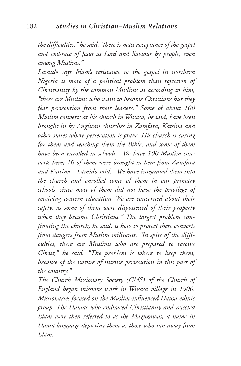*the difficulties," he said, "there is mass acceptance of the gospel and embrace of Jesus as Lord and Saviour by people, even among Muslims."*

*Lamido says Islam's resistance to the gospel in northern Nigeria is more of a political problem than rejection of Christianity by the common Muslims as according to him, "there are Muslims who want to become Christians but they fear persecution from their leaders." Some of about 100 Muslim converts at his church in Wusasa, he said, have been brought in by Anglican churches in Zamfara, Katsina and other states where persecution is grave. His church is caring for them and teaching them the Bible, and some of them have been enrolled in schools. "We have 100 Muslim converts here; 10 of them were brought in here from Zamfara and Katsina," Lamido said. "We have integrated them into the church and enrolled some of them in our primary schools, since most of them did not have the privilege of receiving western education. We are concerned about their safety, as some of them were dispossessed of their property when they became Christians." The largest problem confronting the church, he said, is how to protect these converts from dangers from Muslim militants. "In spite of the difficulties, there are Muslims who are prepared to receive Christ," he said. "The problem is where to keep them, because of the nature of intense persecution in this part of the country."*

*The Church Missionary Society (CMS) of the Church of England began missions work in Wusasa village in 1900. Missionaries focused on the Muslim-influenced Hausa ethnic group. The Hausas who embraced Christianity and rejected Islam were then referred to as the Maguzawas, a name in Hausa language depicting them as those who ran away from Islam.*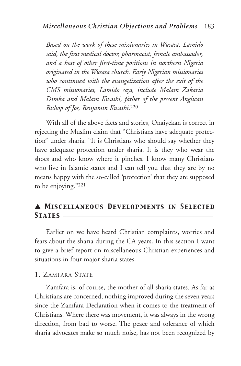*Based on the work of these missionaries in Wusasa, Lamido said, the first medical doctor, pharmacist, female ambassador, and a host of other first-time positions in northern Nigeria originated in the Wusasa church. Early Nigerian missionaries who continued with the evangelization after the exit of the CMS missionaries, Lamido says, include Malam Zakaria Dimka and Malam Kwashi, father of the present Anglican Bishop of Jos, Benjamin Kwashi*.220

With all of the above facts and stories, Onaiyekan is correct in rejecting the Muslim claim that "Christians have adequate protection" under sharia. "It is Christians who should say whether they have adequate protection under sharia. It is they who wear the shoes and who know where it pinches. I know many Christians who live in Islamic states and I can tell you that they are by no means happy with the so-called 'protection' that they are supposed to be enjoying."221

# ▲ *Miscellaneous Developments in Selected* STATES **\_**

Earlier on we have heard Christian complaints, worries and fears about the sharia during the CA years. In this section I want to give a brief report on miscellaneous Christian experiences and situations in four major sharia states.

#### 1. ZAMFARA STATE

Zamfara is, of course, the mother of all sharia states. As far as Christians are concerned, nothing improved during the seven years since the Zamfara Declaration when it comes to the treatment of Christians. Where there was movement, it was always in the wrong direction, from bad to worse. The peace and tolerance of which sharia advocates make so much noise, has not been recognized by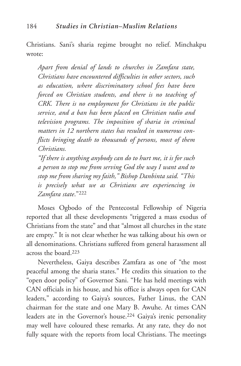Christians. Sani's sharia regime brought no relief. Minchakpu wrote:

*Apart from denial of lands to churches in Zamfara state, Christians have encountered difficulties in other sectors, such as education, where discriminatory school fees have been forced on Christian students, and there is no teaching of CRK. There is no employment for Christians in the public service, and a ban has been placed on Christian radio and television programs. The imposition of sharia in criminal matters in 12 northern states has resulted in numerous conflicts bringing death to thousands of persons, most of them Christians.*

*"If there is anything anybody can do to hurt me, it is for such a person to stop me from serving God the way I want and to stop me from sharing my faith," Bishop Danbinta said. "This is precisely what we as Christians are experiencing in Zamfara state*."222

Moses Ogbodo of the Pentecostal Fellowship of Nigeria reported that all these developments "triggered a mass exodus of Christians from the state" and that "almost all churches in the state are empty." It is not clear whether he was talking about his own or all denominations. Christians suffered from general harassment all across the board.223

Nevertheless, Gaiya describes Zamfara as one of "the most peaceful among the sharia states." He credits this situation to the "open door policy" of Governor Sani. "He has held meetings with CAN officials in his house, and his office is always open for CAN leaders," according to Gaiya's sources, Father Linus, the CAN chairman for the state and one Mary B. Awuhe. At times CAN leaders ate in the Governor's house.224 Gaiya's irenic personality may well have coloured these remarks. At any rate, they do not fully square with the reports from local Christians. The meetings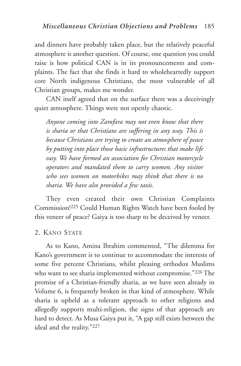and dinners have probably taken place, but the relatively peaceful atmosphere is another question. Of course, one question you could raise is how political CAN is in its pronouncements and complaints. The fact that she finds it hard to wholeheartedly support core North indigenous Christians, the most vulnerable of all Christian groups, makes me wonder.

CAN itself agreed that on the surface there was a deceivingly quiet atmosphere. Things were not openly chaotic.

*Anyone coming into Zamfara may not even know that there is sharia or that Christians are suffering in any way. This is because Christians are trying to create an atmosphere of peace by putting into place those basic infrastructures that make life easy. We have formed an association for Christian motorcycle operators and mandated them to carry women. Any visitor who sees women on motorbikes may think that there is no sharia. We have also provided a few taxis.*

They even created their own Christian Complaints Commission!225 Could Human Rights Watch have been fooled by this veneer of peace? Gaiya is too sharp to be deceived by veneer.

### 2. KANO STATE

As to Kano, Amina Ibrahim commented, "The dilemma for Kano's government is to continue to accommodate the interests of some five percent Christians, whilst pleasing orthodox Muslims who want to see sharia implemented without compromise."226 The promise of a Christian-friendly sharia, as we have seen already in Volume 6, is frequently broken in that kind of atmosphere. While sharia is upheld as a tolerant approach to other religions and allegedly supports multi-religion, the signs of that approach are hard to detect. As Musa Gaiya put it, "A gap still exists between the ideal and the reality."227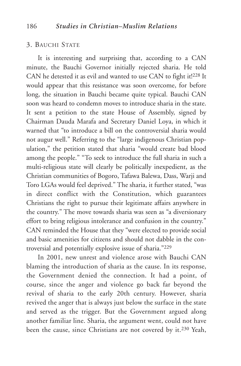#### 3. BAUCHI STATE

It is interesting and surprising that, according to a CAN minute, the Bauchi Governor initially rejected sharia. He told CAN he detested it as evil and wanted to use CAN to fight it!228 It would appear that this resistance was soon overcome, for before long, the situation in Bauchi became quite typical. Bauchi CAN soon was heard to condemn moves to introduce sharia in the state. It sent a petition to the state House of Assembly, signed by Chairman Dauda Marafa and Secretary Daniel Loya, in which it warned that "to introduce a bill on the controversial sharia would not augur well." Referring to the "large indigenous Christian population," the petition stated that sharia "would create bad blood among the people." "To seek to introduce the full sharia in such a multi-religious state will clearly be politically inexpedient, as the Christian communities of Bogoro, Tafawa Balewa, Dass, Warji and Toro LGAs would feel deprived." The sharia, it further stated, "was in direct conflict with the Constitution, which guarantees Christians the right to pursue their legitimate affairs anywhere in the country." The move towards sharia was seen as "a diversionary effort to bring religious intolerance and confusion in the country." CAN reminded the House that they "were elected to provide social and basic amenities for citizens and should not dabble in the controversial and potentially explosive issue of sharia."229

In 2001, new unrest and violence arose with Bauchi CAN blaming the introduction of sharia as the cause. In its response, the Government denied the connection. It had a point, of course, since the anger and violence go back far beyond the revival of sharia to the early 20th century. However, sharia revived the anger that is always just below the surface in the state and served as the trigger. But the Government argued along another familiar line. Sharia, the argument went, could not have been the cause, since Christians are not covered by it.230 Yeah,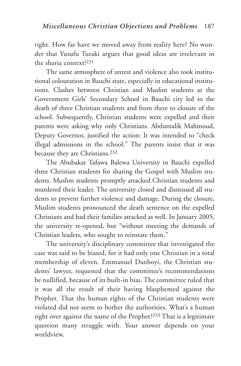right. How far have we moved away from reality here? No wonder that Yusufu Turaki argues that good ideas are irrelevant in the sharia context!231

The same atmosphere of unrest and violence also took institutional colouration in Bauchi state, especially in educational institutions. Clashes between Christian and Muslim students at the Government Girls' Secondary School in Bauchi city led to the death of three Christian students and from there to closure of the school. Subsequently, Christian students were expelled and their parents were asking why only Christians. Abdumalik Mahmoud, Deputy Governor, justified the action: It was intended to "check illegal admissions in the school." The parents insist that it was because they are Christians.232

The Abubakar Tafawa Balewa University in Bauchi expelled three Christian students for sharing the Gospel with Muslim students. Muslim students promptly attacked Christian students and murdered their leader. The university closed and dismissed all students to prevent further violence and damage. During the closure, Muslim students pronounced the death sentence on the expelled Christians and had their families attacked as well. In January 2005, the university re-opened, but "without meeting the demands of Christian leaders, who sought to reinstate them."

The university's disciplinary committee that investigated the case was said to be biased, for it had only one Christian in a total membership of eleven. Emmanuel Danboyi, the Christian students' lawyer, requested that the committee's recommendations be nullified, because of its built-in bias. The committee ruled that it was all the result of their having blasphemed against the Prophet. That the human rights of the Christian students were violated did not seem to bother the authorities. What's a human right over against the name of the Prophet?233 That is a legitimate question many struggle with. Your answer depends on your worldview.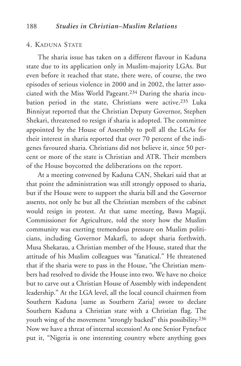#### 4. KADUNA STATE

The sharia issue has taken on a different flavour in Kaduna state due to its application only in Muslim-majority LGAs. But even before it reached that state, there were, of course, the two episodes of serious violence in 2000 and in 2002, the latter associated with the Miss World Pageant.234 During the sharia incubation period in the state, Christians were active.<sup>235</sup> Luka Binniyat reported that the Christian Deputy Governor, Stephen Shekari, threatened to resign if sharia is adopted. The committee appointed by the House of Assembly to poll all the LGAs for their interest in sharia reported that over 70 percent of the indigenes favoured sharia. Christians did not believe it, since 50 percent or more of the state is Christian and ATR. Their members of the House boycotted the deliberations on the report.

At a meeting convened by Kaduna CAN, Shekari said that at that point the administration was still strongly opposed to sharia, but if the House were to support the sharia bill and the Governor assents, not only he but all the Christian members of the cabinet would resign in protest. At that same meeting, Bawa Magaji, Commissioner for Agriculture, told the story how the Muslim community was exerting tremendous pressure on Muslim politicians, including Governor Makarfi, to adopt sharia forthwith. Musa Shekarau, a Christian member of the House, stated that the attitude of his Muslim colleagues was "fanatical." He threatened that if the sharia were to pass in the House, "the Christian members had resolved to divide the House into two. We have no choice but to carve out a Christian House of Assembly with independent leadership." At the LGA level, all the local council chairmen from Southern Kaduna [same as Southern Zaria] swore to declare Southern Kaduna a Christian state with a Christian flag. The youth wing of the movement "strongly backed" this possibility.236 Now we have a threat of internal secession! As one Senior Fyneface put it, "Nigeria is one interesting country where anything goes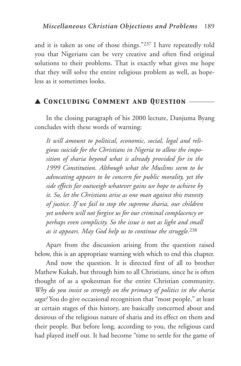and it is taken as one of those things."237 I have repeatedly told you that Nigerians can be very creative and often find original solutions to their problems. That is exactly what gives me hope that they will solve the entire religious problem as well, as hopeless as it sometimes looks.

# ▲ *Concluding Comment and Question* \_\_\_\_\_\_\_\_

In the closing paragraph of his 2000 lecture, Danjuma Byang concludes with these words of warning:

*It will amount to political, economic, social, legal and religious suicide for the Christians in Nigeria to allow the imposition of sharia beyond what is already provided for in the 1999 Constitution. Although what the Muslims seem to be advocating appears to be concern for public morality, yet the side effects far outweigh whatever gains we hope to achieve by it. So, let the Christians arise as one man against this travesty of justice. If we fail to stop the supreme sharia, our children yet unborn will not forgive us for our criminal complacency or perhaps even complicity. So the issue is not as light and small as it appears. May God help us to continue the struggle.*<sup>238</sup>

Apart from the discussion arising from the question raised below, this is an appropriate warning with which to end this chapter.

And now the question. It is directed first of all to brother Mathew Kukah, but through him to all Christians, since he is often thought of as a spokesman for the entire Christian community. *Why do you insist so strongly on the primacy of politics in the sharia saga?* You do give occasional recognition that "most people," at least at certain stages of this history, are basically concerned about and desirous of the religious nature of sharia and its effect on them and their people. But before long, according to you, the religious card had played itself out. It had become "time to settle for the game of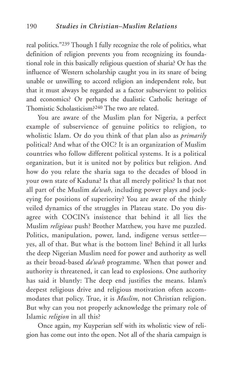real politics."239 Though I fully recognize the role of politics, what definition of religion prevents you from recognizing its foundational role in this basically religious question of sharia? Or has the influence of Western scholarship caught you in its snare of being unable or unwilling to accord religion an independent role, but that it must always be regarded as a factor subservient to politics and economics? Or perhaps the dualistic Catholic heritage of Thomistic Scholasticism?240 The two are related.

You are aware of the Muslim plan for Nigeria, a perfect example of subservience of genuine politics to religion, to wholistic Islam. Or do you think of that plan also as *primarily* political? And what of the OIC? It is an organization of Muslim countries who follow different political systems. It is a political organization, but it is united not by politics but religion. And how do you relate the sharia saga to the decades of blood in your own state of Kaduna? Is that all merely politics? Is that not all part of the Muslim *da'wah*, including power plays and jockeying for positions of superiority? You are aware of the thinly veiled dynamics of the struggles in Plateau state. Do you disagree with COCIN's insistence that behind it all lies the Muslim *religious* push? Brother Matthew, you have me puzzled. Politics, manipulation, power, land, indigene versus settler yes, all of that. But what is the bottom line? Behind it all lurks the deep Nigerian Muslim need for power and authority as well as their broad-based *da'wah* programme. When that power and authority is threatened, it can lead to explosions. One authority has said it bluntly: The deep end justifies the means. Islam's deepest religious drive and religious motivation often accommodates that policy. True, it is *Muslim*, not Christian religion. But why can you not properly acknowledge the primary role of Islamic *religion* in all this?

Once again, my Kuyperian self with its wholistic view of religion has come out into the open. Not all of the sharia campaign is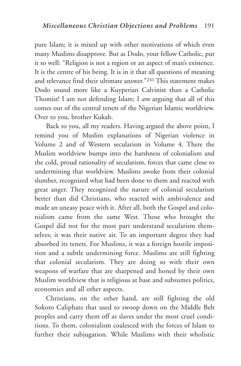pure Islam; it is mixed up with other motivations of which even many Muslims disapprove. But as Dodo, your fellow Catholic, put it so well: "Religion is not a region or an aspect of man's existence. It is the centre of his being. It is in it that all questions of meaning and relevance find their ultimate answer."241 This statement makes Dodo sound more like a Kuyperian Calvinist than a Catholic Thomist! I am not defending Islam; I *am* arguing that all of this comes out of the central tenets of the Nigerian Islamic worldview. Over to you, brother Kukah.

Back to you, all my readers. Having argued the above point, I remind you of Muslim explanations of Nigerian violence in Volume 2 and of Western secularism in Volume 4. There the Muslim worldview bumps into the harshness of colonialism and the cold, proud rationality of secularism, forces that came close to undermining that worldview. Muslims awoke from their colonial slumber, recognized what had been done to them and reacted with great anger. They recognized the nature of colonial secularism better than did Christians, who reacted with ambivalence and made an uneasy peace with it. After all, both the Gospel and colonialism came from the same West. Those who brought the Gospel did not for the most part understand secularism themselves; it was their native air. To an important degree they had absorbed its tenets. For Muslims, it was a foreign hostile imposition and a subtle undermining force. Muslims are still fighting that colonial secularism. They are doing so with their own weapons of warfare that are sharpened and honed by their own Muslim worldview that is religious at base and subsumes politics, economics and all other aspects.

Christians, on the other hand, are still fighting the old Sokoto Caliphate that used to swoop down on the Middle Belt peoples and carry them off as slaves under the most cruel conditions. To them, colonialism coalesced with the forces of Islam to further their subjugation. While Muslims with their wholistic